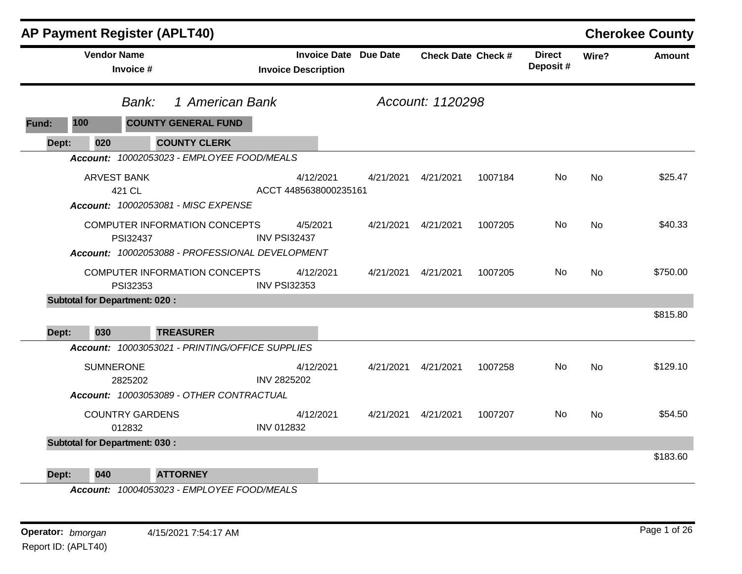|       |                    | <b>AP Payment Register (APLT40)</b>             |                                    |                              |                  |                           |                            |           | <b>Cherokee County</b> |
|-------|--------------------|-------------------------------------------------|------------------------------------|------------------------------|------------------|---------------------------|----------------------------|-----------|------------------------|
|       | <b>Vendor Name</b> | Invoice #                                       | <b>Invoice Description</b>         | <b>Invoice Date Due Date</b> |                  | <b>Check Date Check #</b> | <b>Direct</b><br>Deposit # | Wire?     | <b>Amount</b>          |
|       |                    | 1 American Bank<br>Bank:                        |                                    |                              | Account: 1120298 |                           |                            |           |                        |
| Fund: | 100                | <b>COUNTY GENERAL FUND</b>                      |                                    |                              |                  |                           |                            |           |                        |
| Dept: | 020                | <b>COUNTY CLERK</b>                             |                                    |                              |                  |                           |                            |           |                        |
|       |                    | Account: 10002053023 - EMPLOYEE FOOD/MEALS      |                                    |                              |                  |                           |                            |           |                        |
|       | <b>ARVEST BANK</b> | 421 CL                                          | 4/12/2021<br>ACCT 4485638000235161 | 4/21/2021                    | 4/21/2021        | 1007184                   | No                         | <b>No</b> | \$25.47                |
|       |                    | Account: 10002053081 - MISC EXPENSE             |                                    |                              |                  |                           |                            |           |                        |
|       |                    | COMPUTER INFORMATION CONCEPTS<br>PSI32437       | 4/5/2021<br><b>INV PSI32437</b>    | 4/21/2021                    | 4/21/2021        | 1007205                   | <b>No</b>                  | <b>No</b> | \$40.33                |
|       |                    | Account: 10002053088 - PROFESSIONAL DEVELOPMENT |                                    |                              |                  |                           |                            |           |                        |
|       |                    | COMPUTER INFORMATION CONCEPTS<br>PSI32353       | 4/12/2021<br><b>INV PSI32353</b>   | 4/21/2021                    | 4/21/2021        | 1007205                   | No                         | <b>No</b> | \$750.00               |
|       |                    | <b>Subtotal for Department: 020:</b>            |                                    |                              |                  |                           |                            |           |                        |
| Dept: | 030                | <b>TREASURER</b>                                |                                    |                              |                  |                           |                            |           | \$815.80               |
|       |                    | Account: 10003053021 - PRINTING/OFFICE SUPPLIES |                                    |                              |                  |                           |                            |           |                        |
|       | <b>SUMNERONE</b>   | 2825202                                         | 4/12/2021<br><b>INV 2825202</b>    | 4/21/2021                    | 4/21/2021        | 1007258                   | No                         | <b>No</b> | \$129.10               |
|       |                    | Account: 10003053089 - OTHER CONTRACTUAL        |                                    |                              |                  |                           |                            |           |                        |
|       |                    | <b>COUNTRY GARDENS</b><br>012832                | 4/12/2021<br><b>INV 012832</b>     | 4/21/2021                    | 4/21/2021        | 1007207                   | No.                        | <b>No</b> | \$54.50                |
|       |                    | <b>Subtotal for Department: 030:</b>            |                                    |                              |                  |                           |                            |           |                        |
| Dept: | 040                | <b>ATTORNEY</b>                                 |                                    |                              |                  |                           |                            |           | \$183.60               |

*Account: 10004053023 - EMPLOYEE FOOD/MEALS*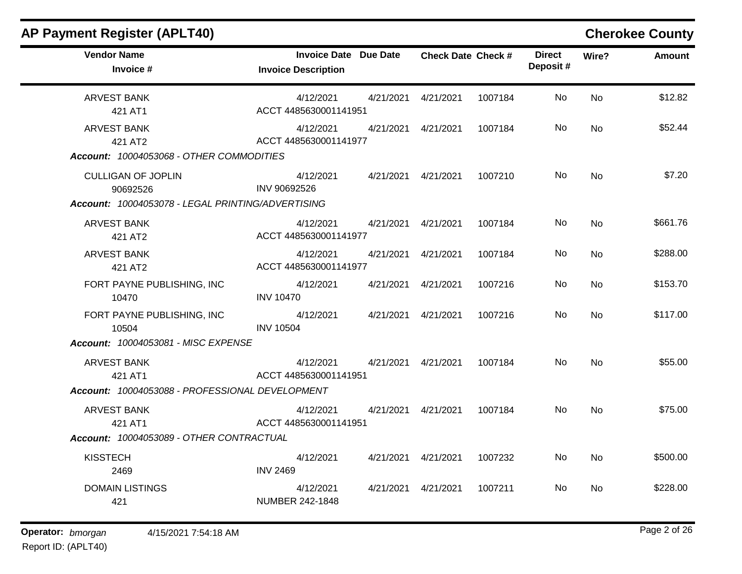### **AP Payment Register (APLT40) Cherokee County Vendor Name Invoice Date Due Date Check Date Invoice # Check Date Check # Invoice Description Direct Wire? Amount Deposit #** ARVEST BANK 421 AT1 4/12/2021 4/21/2021 4/21/2021 1007184 No \$12.82 ACCT 4485630001141951 No ARVEST BANK 421 AT2 4/12/2021 4/21/2021 4/21/2021 1007184 No \$52.44 ACCT 4485630001141977 No *Account: 10004053068 - OTHER COMMODITIES* CULLIGAN OF JOPLIN 90692526 4/12/2021 4/21/2021 4/21/2021 1007210 No \$7.20 INV 90692526 No *Account: 10004053078 - LEGAL PRINTING/ADVERTISING* ARVEST BANK 421 AT2 4/12/2021 4/21/2021 4/21/2021 1007184 No \$661.76 ACCT 4485630001141977 No ARVEST BANK 421 AT2 4/12/2021 4/21/2021 4/21/2021 1007184 No \$288.00 ACCT 4485630001141977 No FORT PAYNE PUBLISHING, INC 10470 4/12/2021 4/21/2021 4/21/2021 1007216 No \$153.70 INV 10470 No FORT PAYNE PUBLISHING, INC 10504 4/12/2021 4/21/2021 4/21/2021 1007216 No \$117.00 INV 10504 No *Account: 10004053081 - MISC EXPENSE* ARVEST BANK 421 AT1 4/12/2021 4/21/2021 4/21/2021 1007184 No \$55.00 ACCT 4485630001141951 No *Account: 10004053088 - PROFESSIONAL DEVELOPMENT* ARVEST BANK 421 AT1 4/12/2021 4/21/2021 4/21/2021 1007184 No \$75.00 ACCT 4485630001141951 No *Account: 10004053089 - OTHER CONTRACTUAL* **KISSTECH** 2469 4/12/2021 4/21/2021 4/21/2021 1007232 No \$500.00 INV 2469 No DOMAIN LISTINGS 421 4/12/2021 4/21/2021 4/21/2021 1007211 No \$228.00 NUMBER 242-1848 No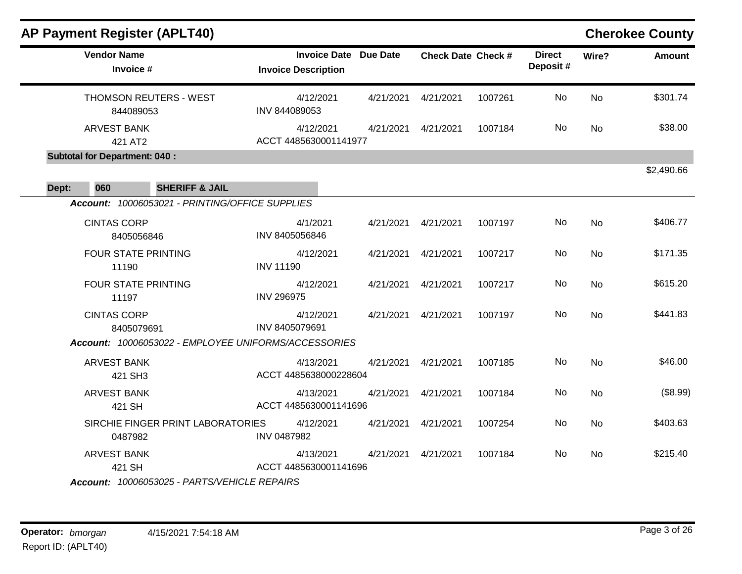| <b>AP Payment Register (APLT40)</b>                  |                                                            |           |                           |         |                           |           | <b>Cherokee County</b> |
|------------------------------------------------------|------------------------------------------------------------|-----------|---------------------------|---------|---------------------------|-----------|------------------------|
| <b>Vendor Name</b><br>Invoice #                      | <b>Invoice Date Due Date</b><br><b>Invoice Description</b> |           | <b>Check Date Check #</b> |         | <b>Direct</b><br>Deposit# | Wire?     | <b>Amount</b>          |
| THOMSON REUTERS - WEST<br>844089053                  | 4/12/2021<br>INV 844089053                                 |           | 4/21/2021  4/21/2021      | 1007261 | No                        | <b>No</b> | \$301.74               |
| <b>ARVEST BANK</b><br>421 AT2                        | 4/12/2021<br>ACCT 4485630001141977                         |           | 4/21/2021  4/21/2021      | 1007184 | No                        | <b>No</b> | \$38.00                |
| <b>Subtotal for Department: 040:</b>                 |                                                            |           |                           |         |                           |           |                        |
| <b>SHERIFF &amp; JAIL</b><br>Dept:<br>060            |                                                            |           |                           |         |                           |           | \$2,490.66             |
| Account: 10006053021 - PRINTING/OFFICE SUPPLIES      |                                                            |           |                           |         |                           |           |                        |
| <b>CINTAS CORP</b><br>8405056846                     | 4/1/2021<br>INV 8405056846                                 |           | 4/21/2021  4/21/2021      | 1007197 | No                        | <b>No</b> | \$406.77               |
| <b>FOUR STATE PRINTING</b><br>11190                  | 4/12/2021<br><b>INV 11190</b>                              | 4/21/2021 | 4/21/2021                 | 1007217 | No                        | <b>No</b> | \$171.35               |
| <b>FOUR STATE PRINTING</b><br>11197                  | 4/12/2021<br><b>INV 296975</b>                             | 4/21/2021 | 4/21/2021                 | 1007217 | <b>No</b>                 | <b>No</b> | \$615.20               |
| <b>CINTAS CORP</b><br>8405079691                     | 4/12/2021<br>INV 8405079691                                |           | 4/21/2021  4/21/2021      | 1007197 | <b>No</b>                 | <b>No</b> | \$441.83               |
| Account: 10006053022 - EMPLOYEE UNIFORMS/ACCESSORIES |                                                            |           |                           |         |                           |           |                        |
| <b>ARVEST BANK</b><br>421 SH3                        | 4/13/2021<br>ACCT 4485638000228604                         | 4/21/2021 | 4/21/2021                 | 1007185 | <b>No</b>                 | <b>No</b> | \$46.00                |
| <b>ARVEST BANK</b><br>421 SH                         | 4/13/2021<br>ACCT 4485630001141696                         | 4/21/2021 | 4/21/2021                 | 1007184 | <b>No</b>                 | <b>No</b> | (\$8.99)               |
| SIRCHIE FINGER PRINT LABORATORIES<br>0487982         | 4/12/2021<br><b>INV 0487982</b>                            | 4/21/2021 | 4/21/2021                 | 1007254 | No                        | <b>No</b> | \$403.63               |
| <b>ARVEST BANK</b><br>421 SH                         | 4/13/2021<br>ACCT 4485630001141696                         | 4/21/2021 | 4/21/2021                 | 1007184 | <b>No</b>                 | <b>No</b> | \$215.40               |
| Account: 10006053025 - PARTS/VEHICLE REPAIRS         |                                                            |           |                           |         |                           |           |                        |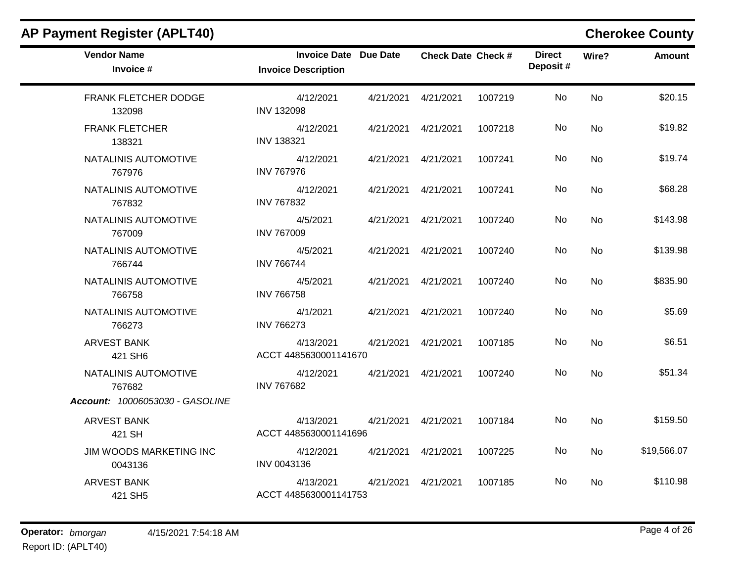| <b>Vendor Name</b><br>Invoice #    | <b>Invoice Date Due Date</b><br><b>Invoice Description</b> |                      | <b>Check Date Check #</b> |         | <b>Direct</b><br>Deposit# | Wire?     | <b>Amount</b> |
|------------------------------------|------------------------------------------------------------|----------------------|---------------------------|---------|---------------------------|-----------|---------------|
| FRANK FLETCHER DODGE<br>132098     | 4/12/2021<br><b>INV 132098</b>                             | 4/21/2021            | 4/21/2021                 | 1007219 | No                        | No        | \$20.15       |
| <b>FRANK FLETCHER</b><br>138321    | 4/12/2021<br><b>INV 138321</b>                             | 4/21/2021  4/21/2021 |                           | 1007218 | No.                       | <b>No</b> | \$19.82       |
| NATALINIS AUTOMOTIVE<br>767976     | 4/12/2021<br><b>INV 767976</b>                             | 4/21/2021            | 4/21/2021                 | 1007241 | No                        | <b>No</b> | \$19.74       |
| NATALINIS AUTOMOTIVE<br>767832     | 4/12/2021<br><b>INV 767832</b>                             | 4/21/2021  4/21/2021 |                           | 1007241 | No.                       | <b>No</b> | \$68.28       |
| NATALINIS AUTOMOTIVE<br>767009     | 4/5/2021<br><b>INV 767009</b>                              | 4/21/2021  4/21/2021 |                           | 1007240 | No                        | <b>No</b> | \$143.98      |
| NATALINIS AUTOMOTIVE<br>766744     | 4/5/2021<br><b>INV 766744</b>                              | 4/21/2021  4/21/2021 |                           | 1007240 | No                        | <b>No</b> | \$139.98      |
| NATALINIS AUTOMOTIVE<br>766758     | 4/5/2021<br><b>INV 766758</b>                              | 4/21/2021  4/21/2021 |                           | 1007240 | No                        | <b>No</b> | \$835.90      |
| NATALINIS AUTOMOTIVE<br>766273     | 4/1/2021<br><b>INV 766273</b>                              | 4/21/2021  4/21/2021 |                           | 1007240 | No.                       | <b>No</b> | \$5.69        |
| <b>ARVEST BANK</b><br>421 SH6      | 4/13/2021<br>ACCT 4485630001141670                         | 4/21/2021  4/21/2021 |                           | 1007185 | <b>No</b>                 | <b>No</b> | \$6.51        |
| NATALINIS AUTOMOTIVE<br>767682     | 4/12/2021<br><b>INV 767682</b>                             | 4/21/2021  4/21/2021 |                           | 1007240 | No                        | <b>No</b> | \$51.34       |
| Account: 10006053030 - GASOLINE    |                                                            |                      |                           |         |                           |           |               |
| <b>ARVEST BANK</b><br>421 SH       | 4/13/2021<br>ACCT 4485630001141696                         | 4/21/2021  4/21/2021 |                           | 1007184 | <b>No</b>                 | <b>No</b> | \$159.50      |
| JIM WOODS MARKETING INC<br>0043136 | 4/12/2021<br>INV 0043136                                   | 4/21/2021            | 4/21/2021                 | 1007225 | No                        | No        | \$19,566.07   |
| <b>ARVEST BANK</b><br>421 SH5      | 4/13/2021<br>ACCT 4485630001141753                         | 4/21/2021            | 4/21/2021                 | 1007185 | No                        | <b>No</b> | \$110.98      |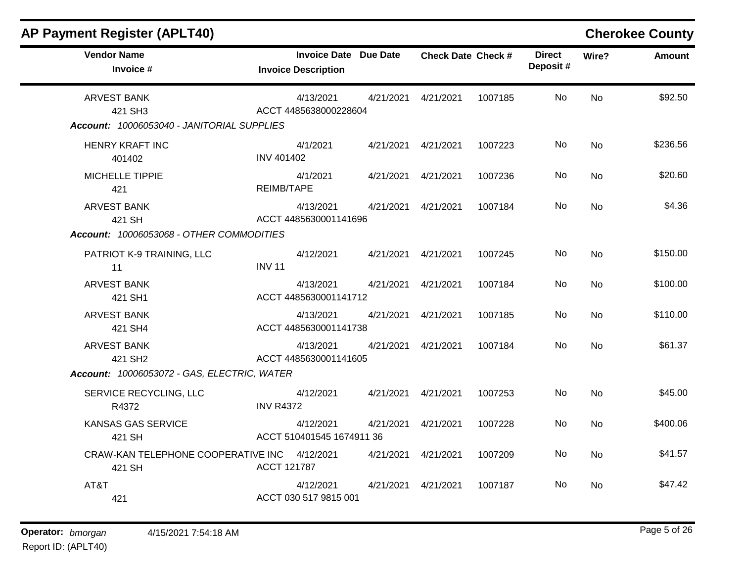| <b>AP Payment Register (APLT40)</b>                                         |                                                            |           |                           |         |                           |           | <b>Cherokee County</b> |
|-----------------------------------------------------------------------------|------------------------------------------------------------|-----------|---------------------------|---------|---------------------------|-----------|------------------------|
| <b>Vendor Name</b><br>Invoice #                                             | <b>Invoice Date Due Date</b><br><b>Invoice Description</b> |           | <b>Check Date Check #</b> |         | <b>Direct</b><br>Deposit# | Wire?     | <b>Amount</b>          |
| <b>ARVEST BANK</b><br>421 SH3<br>Account: 10006053040 - JANITORIAL SUPPLIES | 4/13/2021<br>ACCT 4485638000228604                         | 4/21/2021 | 4/21/2021                 | 1007185 | No.                       | <b>No</b> | \$92.50                |
| <b>HENRY KRAFT INC</b><br>401402                                            | 4/1/2021<br><b>INV 401402</b>                              | 4/21/2021 | 4/21/2021                 | 1007223 | No                        | <b>No</b> | \$236.56               |
| <b>MICHELLE TIPPIE</b><br>421                                               | 4/1/2021<br>REIMB/TAPE                                     | 4/21/2021 | 4/21/2021                 | 1007236 | No                        | <b>No</b> | \$20.60                |
| <b>ARVEST BANK</b><br>421 SH                                                | 4/13/2021<br>ACCT 4485630001141696                         | 4/21/2021 | 4/21/2021                 | 1007184 | No.                       | No        | \$4.36                 |
| Account: 10006053068 - OTHER COMMODITIES                                    |                                                            |           |                           |         |                           |           |                        |
| PATRIOT K-9 TRAINING, LLC<br>11                                             | 4/12/2021<br><b>INV 11</b>                                 | 4/21/2021 | 4/21/2021                 | 1007245 | No                        | <b>No</b> | \$150.00               |
| <b>ARVEST BANK</b><br>421 SH1                                               | 4/13/2021<br>ACCT 4485630001141712                         | 4/21/2021 | 4/21/2021                 | 1007184 | No                        | <b>No</b> | \$100.00               |
| <b>ARVEST BANK</b><br>421 SH4                                               | 4/13/2021<br>ACCT 4485630001141738                         | 4/21/2021 | 4/21/2021                 | 1007185 | No.                       | <b>No</b> | \$110.00               |
| <b>ARVEST BANK</b><br>421 SH <sub>2</sub>                                   | 4/13/2021<br>ACCT 4485630001141605                         | 4/21/2021 | 4/21/2021                 | 1007184 | No                        | <b>No</b> | \$61.37                |
| Account: 10006053072 - GAS, ELECTRIC, WATER                                 |                                                            |           |                           |         |                           |           |                        |
| SERVICE RECYCLING, LLC<br>R4372                                             | 4/12/2021<br><b>INV R4372</b>                              | 4/21/2021 | 4/21/2021                 | 1007253 | No                        | <b>No</b> | \$45.00                |
| <b>KANSAS GAS SERVICE</b><br>421 SH                                         | 4/12/2021<br>ACCT 510401545 1674911 36                     | 4/21/2021 | 4/21/2021                 | 1007228 | No                        | No        | \$400.06               |
| CRAW-KAN TELEPHONE COOPERATIVE INC 4/12/2021<br>421 SH                      | ACCT 121787                                                | 4/21/2021 | 4/21/2021                 | 1007209 | No                        | <b>No</b> | \$41.57                |
| AT&T<br>421                                                                 | 4/12/2021<br>ACCT 030 517 9815 001                         | 4/21/2021 | 4/21/2021                 | 1007187 | No.                       | <b>No</b> | \$47.42                |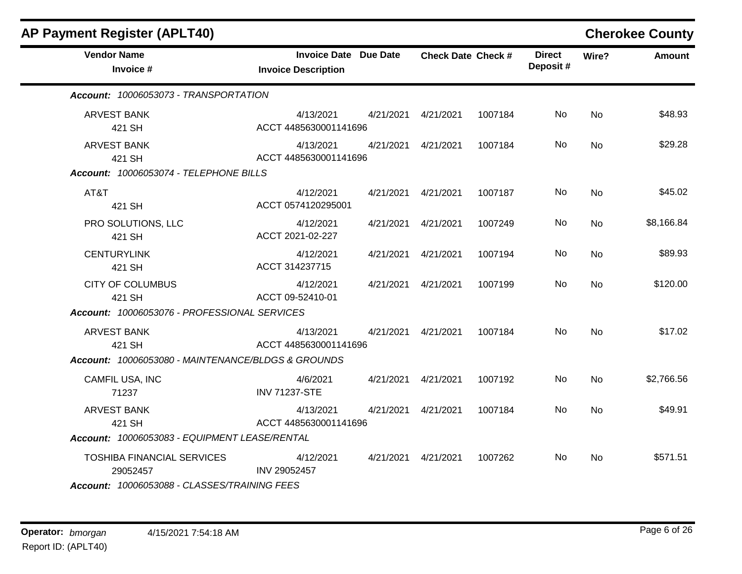| AP Payment Register (APLT40)                       |                                                            |           |                           |         |                           |           | <b>Cherokee County</b> |
|----------------------------------------------------|------------------------------------------------------------|-----------|---------------------------|---------|---------------------------|-----------|------------------------|
| <b>Vendor Name</b><br>Invoice #                    | <b>Invoice Date Due Date</b><br><b>Invoice Description</b> |           | <b>Check Date Check #</b> |         | <b>Direct</b><br>Deposit# | Wire?     | <b>Amount</b>          |
| Account: 10006053073 - TRANSPORTATION              |                                                            |           |                           |         |                           |           |                        |
| <b>ARVEST BANK</b><br>421 SH                       | 4/13/2021<br>ACCT 4485630001141696                         | 4/21/2021 | 4/21/2021                 | 1007184 | No                        | <b>No</b> | \$48.93                |
| <b>ARVEST BANK</b><br>421 SH                       | 4/13/2021<br>ACCT 4485630001141696                         | 4/21/2021 | 4/21/2021                 | 1007184 | No                        | <b>No</b> | \$29.28                |
| Account: 10006053074 - TELEPHONE BILLS             |                                                            |           |                           |         |                           |           |                        |
| AT&T<br>421 SH                                     | 4/12/2021<br>ACCT 0574120295001                            | 4/21/2021 | 4/21/2021                 | 1007187 | No                        | <b>No</b> | \$45.02                |
| PRO SOLUTIONS, LLC<br>421 SH                       | 4/12/2021<br>ACCT 2021-02-227                              | 4/21/2021 | 4/21/2021                 | 1007249 | No.                       | <b>No</b> | \$8,166.84             |
| <b>CENTURYLINK</b><br>421 SH                       | 4/12/2021<br>ACCT 314237715                                | 4/21/2021 | 4/21/2021                 | 1007194 | No                        | <b>No</b> | \$89.93                |
| <b>CITY OF COLUMBUS</b><br>421 SH                  | 4/12/2021<br>ACCT 09-52410-01                              | 4/21/2021 | 4/21/2021                 | 1007199 | No.                       | <b>No</b> | \$120.00               |
| Account: 10006053076 - PROFESSIONAL SERVICES       |                                                            |           |                           |         |                           |           |                        |
| <b>ARVEST BANK</b><br>421 SH                       | 4/13/2021<br>ACCT 4485630001141696                         | 4/21/2021 | 4/21/2021                 | 1007184 | No                        | <b>No</b> | \$17.02                |
| Account: 10006053080 - MAINTENANCE/BLDGS & GROUNDS |                                                            |           |                           |         |                           |           |                        |
| CAMFIL USA, INC<br>71237                           | 4/6/2021<br><b>INV 71237-STE</b>                           | 4/21/2021 | 4/21/2021                 | 1007192 | No.                       | <b>No</b> | \$2,766.56             |
| <b>ARVEST BANK</b><br>421 SH                       | 4/13/2021<br>ACCT 4485630001141696                         | 4/21/2021 | 4/21/2021                 | 1007184 | No.                       | <b>No</b> | \$49.91                |
| Account: 10006053083 - EQUIPMENT LEASE/RENTAL      |                                                            |           |                           |         |                           |           |                        |
| <b>TOSHIBA FINANCIAL SERVICES</b><br>29052457      | 4/12/2021<br><b>INV 29052457</b>                           | 4/21/2021 | 4/21/2021                 | 1007262 | No.                       | <b>No</b> | \$571.51               |
| Account: 10006053088 - CLASSES/TRAINING FEES       |                                                            |           |                           |         |                           |           |                        |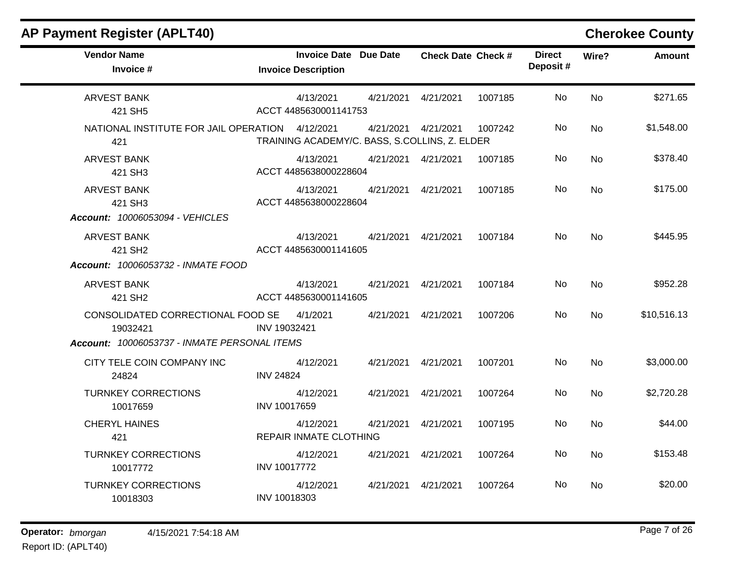| <b>Vendor Name</b><br>Invoice #                                                                                    | <b>Invoice Date Due Date</b><br><b>Invoice Description</b> |           | <b>Check Date Check #</b> |         | <b>Direct</b><br>Deposit# | Wire?     | <b>Amount</b> |
|--------------------------------------------------------------------------------------------------------------------|------------------------------------------------------------|-----------|---------------------------|---------|---------------------------|-----------|---------------|
| <b>ARVEST BANK</b><br>421 SH5                                                                                      | 4/13/2021<br>ACCT 4485630001141753                         | 4/21/2021 | 4/21/2021                 | 1007185 | No                        | <b>No</b> | \$271.65      |
| NATIONAL INSTITUTE FOR JAIL OPERATION<br>421                                                                       | 4/12/2021<br>TRAINING ACADEMY/C. BASS, S.COLLINS, Z. ELDER | 4/21/2021 | 4/21/2021                 | 1007242 | No                        | <b>No</b> | \$1,548.00    |
| <b>ARVEST BANK</b><br>421 SH3                                                                                      | 4/13/2021<br>ACCT 4485638000228604                         | 4/21/2021 | 4/21/2021                 | 1007185 | No                        | <b>No</b> | \$378.40      |
| <b>ARVEST BANK</b><br>421 SH3                                                                                      | 4/13/2021<br>ACCT 4485638000228604                         | 4/21/2021 | 4/21/2021                 | 1007185 | No.                       | <b>No</b> | \$175.00      |
| Account: 10006053094 - VEHICLES<br><b>ARVEST BANK</b><br>421 SH <sub>2</sub><br>Account: 10006053732 - INMATE FOOD | 4/13/2021<br>ACCT 4485630001141605                         | 4/21/2021 | 4/21/2021                 | 1007184 | No                        | <b>No</b> | \$445.95      |
| <b>ARVEST BANK</b><br>421 SH <sub>2</sub>                                                                          | 4/13/2021<br>ACCT 4485630001141605                         | 4/21/2021 | 4/21/2021                 | 1007184 | No                        | <b>No</b> | \$952.28      |
| CONSOLIDATED CORRECTIONAL FOOD SE<br>19032421                                                                      | 4/1/2021<br>INV 19032421                                   | 4/21/2021 | 4/21/2021                 | 1007206 | No                        | No        | \$10,516.13   |
| Account: 10006053737 - INMATE PERSONAL ITEMS                                                                       |                                                            |           |                           |         |                           |           |               |
| CITY TELE COIN COMPANY INC<br>24824                                                                                | 4/12/2021<br><b>INV 24824</b>                              | 4/21/2021 | 4/21/2021                 | 1007201 | No                        | <b>No</b> | \$3,000.00    |
| <b>TURNKEY CORRECTIONS</b><br>10017659                                                                             | 4/12/2021<br>INV 10017659                                  | 4/21/2021 | 4/21/2021                 | 1007264 | No                        | <b>No</b> | \$2,720.28    |
| <b>CHERYL HAINES</b><br>421                                                                                        | 4/12/2021<br><b>REPAIR INMATE CLOTHING</b>                 | 4/21/2021 | 4/21/2021                 | 1007195 | No.                       | <b>No</b> | \$44.00       |
| <b>TURNKEY CORRECTIONS</b><br>10017772                                                                             | 4/12/2021<br><b>INV 10017772</b>                           | 4/21/2021 | 4/21/2021                 | 1007264 | No                        | <b>No</b> | \$153.48      |
| <b>TURNKEY CORRECTIONS</b><br>10018303                                                                             | 4/12/2021<br>INV 10018303                                  | 4/21/2021 | 4/21/2021                 | 1007264 | No.                       | <b>No</b> | \$20.00       |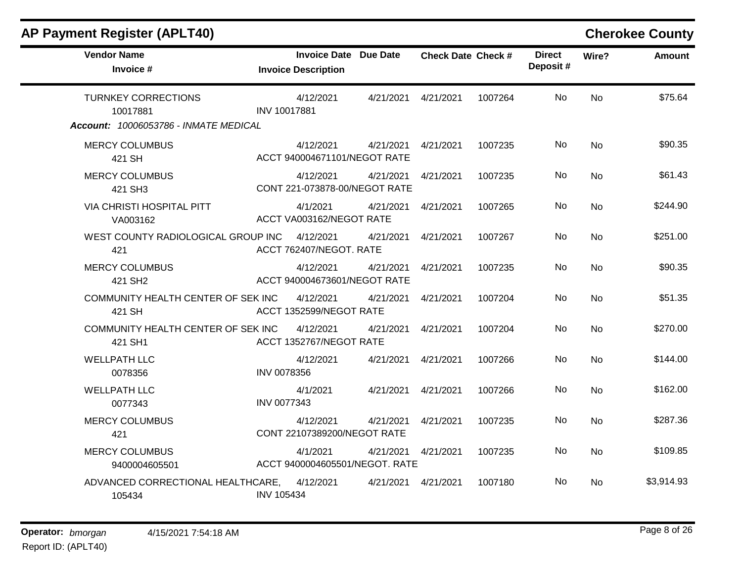| <b>Vendor Name</b><br>Invoice #                                                 | <b>Invoice Date Due Date</b><br><b>Invoice Description</b> | <b>Check Date Check #</b> | <b>Direct</b><br>Deposit# | Wire?     | <b>Amount</b> |
|---------------------------------------------------------------------------------|------------------------------------------------------------|---------------------------|---------------------------|-----------|---------------|
| <b>TURNKEY CORRECTIONS</b><br>10017881<br>Account: 10006053786 - INMATE MEDICAL | 4/12/2021<br>4/21/2021<br>INV 10017881                     | 4/21/2021                 | No<br>1007264             | <b>No</b> | \$75.64       |
| <b>MERCY COLUMBUS</b><br>421 SH                                                 | 4/12/2021<br>4/21/2021<br>ACCT 940004671101/NEGOT RATE     | 4/21/2021                 | No<br>1007235             | <b>No</b> | \$90.35       |
| <b>MERCY COLUMBUS</b><br>421 SH3                                                | 4/12/2021<br>4/21/2021<br>CONT 221-073878-00/NEGOT RATE    | 4/21/2021                 | No<br>1007235             | <b>No</b> | \$61.43       |
| VIA CHRISTI HOSPITAL PITT<br>VA003162                                           | 4/1/2021<br>4/21/2021<br>ACCT VA003162/NEGOT RATE          | 4/21/2021                 | No<br>1007265             | <b>No</b> | \$244.90      |
| WEST COUNTY RADIOLOGICAL GROUP INC<br>421                                       | 4/12/2021<br>4/21/2021<br>ACCT 762407/NEGOT. RATE          | 4/21/2021                 | 1007267<br>No             | <b>No</b> | \$251.00      |
| <b>MERCY COLUMBUS</b><br>421 SH <sub>2</sub>                                    | 4/12/2021<br>4/21/2021<br>ACCT 940004673601/NEGOT RATE     | 4/21/2021                 | No<br>1007235             | No        | \$90.35       |
| COMMUNITY HEALTH CENTER OF SEK INC<br>421 SH                                    | 4/12/2021<br>4/21/2021<br>ACCT 1352599/NEGOT RATE          | 4/21/2021                 | No<br>1007204             | No        | \$51.35       |
| COMMUNITY HEALTH CENTER OF SEK INC<br>421 SH1                                   | 4/12/2021<br>4/21/2021<br>ACCT 1352767/NEGOT RATE          | 4/21/2021                 | No<br>1007204             | <b>No</b> | \$270.00      |
| <b>WELLPATH LLC</b><br>0078356                                                  | 4/12/2021<br>4/21/2021<br><b>INV 0078356</b>               | 4/21/2021                 | No<br>1007266             | <b>No</b> | \$144.00      |
| <b>WELLPATH LLC</b><br>0077343                                                  | 4/1/2021<br>4/21/2021<br><b>INV 0077343</b>                | 4/21/2021                 | No<br>1007266             | <b>No</b> | \$162.00      |
| <b>MERCY COLUMBUS</b><br>421                                                    | 4/12/2021<br>4/21/2021<br>CONT 22107389200/NEGOT RATE      | 4/21/2021                 | 1007235<br>No             | <b>No</b> | \$287.36      |
| <b>MERCY COLUMBUS</b><br>9400004605501                                          | 4/1/2021<br>4/21/2021<br>ACCT 9400004605501/NEGOT. RATE    | 4/21/2021                 | No<br>1007235             | <b>No</b> | \$109.85      |
| ADVANCED CORRECTIONAL HEALTHCARE,<br>105434                                     | 4/12/2021<br>4/21/2021<br><b>INV 105434</b>                | 4/21/2021                 | 1007180<br>No.            | No        | \$3,914.93    |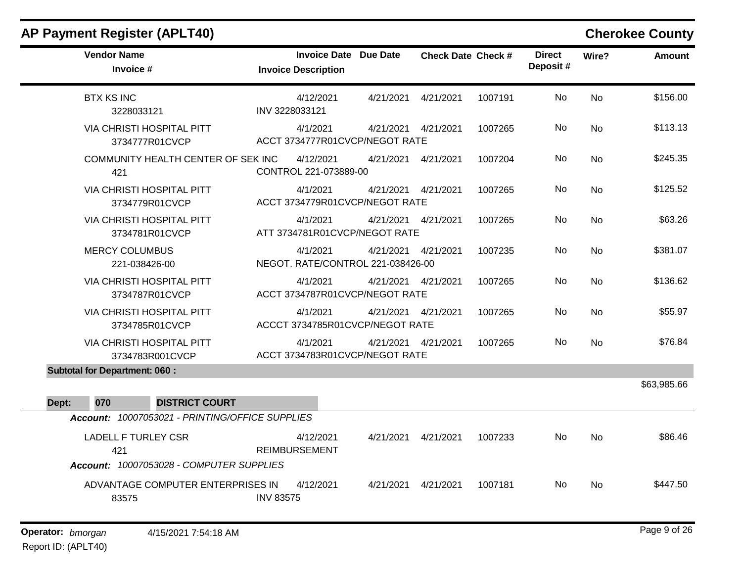|              | <b>AP Payment Register (APLT40)</b>                                           |                                                            |           |                           |         |                           |           | <b>Cherokee County</b> |
|--------------|-------------------------------------------------------------------------------|------------------------------------------------------------|-----------|---------------------------|---------|---------------------------|-----------|------------------------|
|              | <b>Vendor Name</b><br>Invoice #                                               | <b>Invoice Date Due Date</b><br><b>Invoice Description</b> |           | <b>Check Date Check #</b> |         | <b>Direct</b><br>Deposit# | Wire?     | <b>Amount</b>          |
|              | <b>BTX KS INC</b><br>3228033121                                               | 4/12/2021<br>INV 3228033121                                | 4/21/2021 | 4/21/2021                 | 1007191 | No                        | <b>No</b> | \$156.00               |
|              | <b>VIA CHRISTI HOSPITAL PITT</b><br>3734777R01CVCP                            | 4/1/2021<br>ACCT 3734777R01CVCP/NEGOT RATE                 | 4/21/2021 | 4/21/2021                 | 1007265 | No                        | <b>No</b> | \$113.13               |
|              | COMMUNITY HEALTH CENTER OF SEK INC<br>421                                     | 4/12/2021<br>CONTROL 221-073889-00                         | 4/21/2021 | 4/21/2021                 | 1007204 | No                        | No        | \$245.35               |
|              | <b>VIA CHRISTI HOSPITAL PITT</b><br>3734779R01CVCP                            | 4/1/2021<br>ACCT 3734779R01CVCP/NEGOT RATE                 | 4/21/2021 | 4/21/2021                 | 1007265 | No                        | <b>No</b> | \$125.52               |
|              | <b>VIA CHRISTI HOSPITAL PITT</b><br>3734781R01CVCP                            | 4/1/2021<br>ATT 3734781R01CVCP/NEGOT RATE                  | 4/21/2021 | 4/21/2021                 | 1007265 | No                        | <b>No</b> | \$63.26                |
|              | <b>MERCY COLUMBUS</b><br>221-038426-00                                        | 4/1/2021<br>NEGOT. RATE/CONTROL 221-038426-00              | 4/21/2021 | 4/21/2021                 | 1007235 | No                        | <b>No</b> | \$381.07               |
|              | <b>VIA CHRISTI HOSPITAL PITT</b><br>3734787R01CVCP                            | 4/1/2021<br>ACCT 3734787R01CVCP/NEGOT RATE                 | 4/21/2021 | 4/21/2021                 | 1007265 | No                        | No        | \$136.62               |
|              | VIA CHRISTI HOSPITAL PITT<br>3734785R01CVCP                                   | 4/1/2021<br>ACCCT 3734785R01CVCP/NEGOT RATE                | 4/21/2021 | 4/21/2021                 | 1007265 | No                        | <b>No</b> | \$55.97                |
|              | VIA CHRISTI HOSPITAL PITT<br>3734783R001CVCP                                  | 4/1/2021<br>ACCT 3734783R01CVCP/NEGOT RATE                 |           | 4/21/2021  4/21/2021      | 1007265 | No                        | <b>No</b> | \$76.84                |
|              | <b>Subtotal for Department: 060:</b>                                          |                                                            |           |                           |         |                           |           |                        |
| 070<br>Dept: | <b>DISTRICT COURT</b>                                                         |                                                            |           |                           |         |                           |           | \$63,985.66            |
|              | Account: 10007053021 - PRINTING/OFFICE SUPPLIES                               |                                                            |           |                           |         |                           |           |                        |
|              | <b>LADELL F TURLEY CSR</b><br>421<br>Account: 10007053028 - COMPUTER SUPPLIES | 4/12/2021<br><b>REIMBURSEMENT</b>                          | 4/21/2021 | 4/21/2021                 | 1007233 | No                        | No        | \$86.46                |
|              | ADVANTAGE COMPUTER ENTERPRISES IN<br>83575                                    | 4/12/2021<br><b>INV 83575</b>                              | 4/21/2021 | 4/21/2021                 | 1007181 | No                        | <b>No</b> | \$447.50               |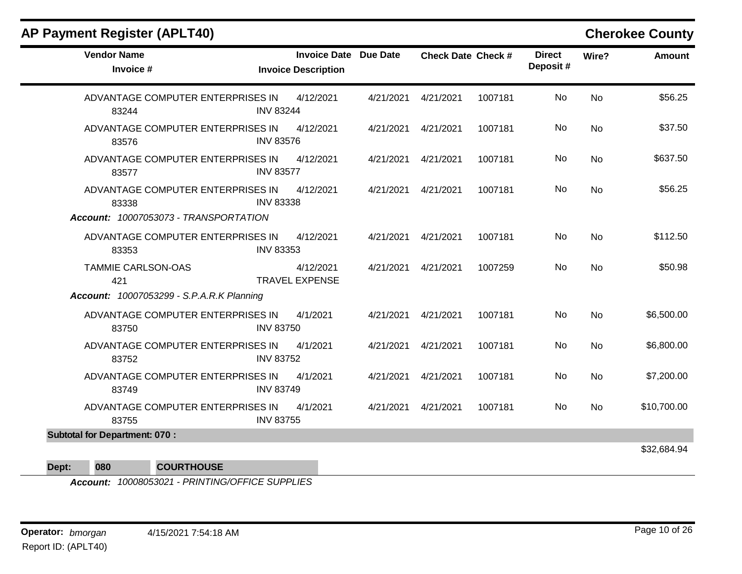| <b>Vendor Name</b><br>Invoice #                  | <b>Invoice Date Due Date</b><br><b>Invoice Description</b> |           | <b>Check Date Check #</b> |         | <b>Direct</b><br>Deposit# | Wire?     | <b>Amount</b> |
|--------------------------------------------------|------------------------------------------------------------|-----------|---------------------------|---------|---------------------------|-----------|---------------|
| ADVANTAGE COMPUTER ENTERPRISES IN<br>83244       | 4/12/2021<br><b>INV 83244</b>                              | 4/21/2021 | 4/21/2021                 | 1007181 | <b>No</b>                 | <b>No</b> | \$56.25       |
| ADVANTAGE COMPUTER ENTERPRISES IN<br>83576       | 4/12/2021<br><b>INV 83576</b>                              | 4/21/2021 | 4/21/2021                 | 1007181 | No                        | <b>No</b> | \$37.50       |
| ADVANTAGE COMPUTER ENTERPRISES IN<br>83577       | 4/12/2021<br><b>INV 83577</b>                              | 4/21/2021 | 4/21/2021                 | 1007181 | No                        | <b>No</b> | \$637.50      |
| ADVANTAGE COMPUTER ENTERPRISES IN<br>83338       | 4/12/2021<br><b>INV 83338</b>                              | 4/21/2021 | 4/21/2021                 | 1007181 | No                        | <b>No</b> | \$56.25       |
| Account: 10007053073 - TRANSPORTATION            |                                                            |           |                           |         |                           |           |               |
| ADVANTAGE COMPUTER ENTERPRISES IN<br>83353       | 4/12/2021<br><b>INV 83353</b>                              | 4/21/2021 | 4/21/2021                 | 1007181 | No                        | <b>No</b> | \$112.50      |
| <b>TAMMIE CARLSON-OAS</b><br>421                 | 4/12/2021<br><b>TRAVEL EXPENSE</b>                         | 4/21/2021 | 4/21/2021                 | 1007259 | No                        | <b>No</b> | \$50.98       |
| <b>Account: 10007053299 - S.P.A.R.K Planning</b> |                                                            |           |                           |         |                           |           |               |
| ADVANTAGE COMPUTER ENTERPRISES IN<br>83750       | 4/1/2021<br><b>INV 83750</b>                               | 4/21/2021 | 4/21/2021                 | 1007181 | No                        | <b>No</b> | \$6,500.00    |
| ADVANTAGE COMPUTER ENTERPRISES IN<br>83752       | 4/1/2021<br><b>INV 83752</b>                               | 4/21/2021 | 4/21/2021                 | 1007181 | No                        | <b>No</b> | \$6,800.00    |
| ADVANTAGE COMPUTER ENTERPRISES IN<br>83749       | 4/1/2021<br><b>INV 83749</b>                               | 4/21/2021 | 4/21/2021                 | 1007181 | <b>No</b>                 | <b>No</b> | \$7,200.00    |
| ADVANTAGE COMPUTER ENTERPRISES IN<br>83755       | 4/1/2021<br><b>INV 83755</b>                               | 4/21/2021 | 4/21/2021                 | 1007181 | No                        | <b>No</b> | \$10,700.00   |
| <b>Subtotal for Department: 070:</b>             |                                                            |           |                           |         |                           |           |               |
|                                                  |                                                            |           |                           |         |                           |           | \$32,684.94   |

**Dept: 080 COURTHOUSE**

*Account: 10008053021 - PRINTING/OFFICE SUPPLIES*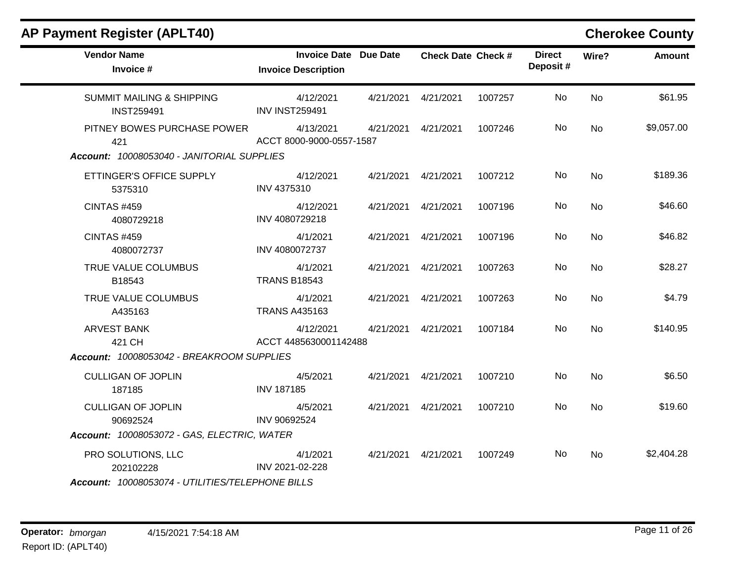| <b>Vendor Name</b><br>Invoice #                           | <b>Invoice Date Due Date</b><br><b>Invoice Description</b> |           | <b>Check Date Check #</b> |         | <b>Direct</b><br>Deposit# | Wire?     | <b>Amount</b> |
|-----------------------------------------------------------|------------------------------------------------------------|-----------|---------------------------|---------|---------------------------|-----------|---------------|
| <b>SUMMIT MAILING &amp; SHIPPING</b><br><b>INST259491</b> | 4/12/2021<br><b>INV INST259491</b>                         | 4/21/2021 | 4/21/2021                 | 1007257 | <b>No</b>                 | <b>No</b> | \$61.95       |
| PITNEY BOWES PURCHASE POWER<br>421                        | 4/13/2021<br>ACCT 8000-9000-0557-1587                      | 4/21/2021 | 4/21/2021                 | 1007246 | No                        | <b>No</b> | \$9,057.00    |
| Account: 10008053040 - JANITORIAL SUPPLIES                |                                                            |           |                           |         |                           |           |               |
| ETTINGER'S OFFICE SUPPLY<br>5375310                       | 4/12/2021<br>INV 4375310                                   | 4/21/2021 | 4/21/2021                 | 1007212 | No                        | <b>No</b> | \$189.36      |
| <b>CINTAS #459</b><br>4080729218                          | 4/12/2021<br>INV 4080729218                                | 4/21/2021 | 4/21/2021                 | 1007196 | No                        | <b>No</b> | \$46.60       |
| <b>CINTAS #459</b><br>4080072737                          | 4/1/2021<br>INV 4080072737                                 | 4/21/2021 | 4/21/2021                 | 1007196 | No                        | <b>No</b> | \$46.82       |
| TRUE VALUE COLUMBUS<br>B18543                             | 4/1/2021<br><b>TRANS B18543</b>                            | 4/21/2021 | 4/21/2021                 | 1007263 | No.                       | <b>No</b> | \$28.27       |
| TRUE VALUE COLUMBUS<br>A435163                            | 4/1/2021<br><b>TRANS A435163</b>                           | 4/21/2021 | 4/21/2021                 | 1007263 | No                        | <b>No</b> | \$4.79        |
| <b>ARVEST BANK</b><br>421 CH                              | 4/12/2021<br>ACCT 4485630001142488                         | 4/21/2021 | 4/21/2021                 | 1007184 | <b>No</b>                 | <b>No</b> | \$140.95      |
| Account: 10008053042 - BREAKROOM SUPPLIES                 |                                                            |           |                           |         |                           |           |               |
| <b>CULLIGAN OF JOPLIN</b><br>187185                       | 4/5/2021<br><b>INV 187185</b>                              | 4/21/2021 | 4/21/2021                 | 1007210 | No                        | <b>No</b> | \$6.50        |
| <b>CULLIGAN OF JOPLIN</b><br>90692524                     | 4/5/2021<br>INV 90692524                                   | 4/21/2021 | 4/21/2021                 | 1007210 | <b>No</b>                 | <b>No</b> | \$19.60       |
| Account: 10008053072 - GAS, ELECTRIC, WATER               |                                                            |           |                           |         |                           |           |               |
| PRO SOLUTIONS, LLC<br>202102228                           | 4/1/2021<br>INV 2021-02-228                                | 4/21/2021 | 4/21/2021                 | 1007249 | No                        | No        | \$2,404.28    |
| Account: 10008053074 - UTILITIES/TELEPHONE BILLS          |                                                            |           |                           |         |                           |           |               |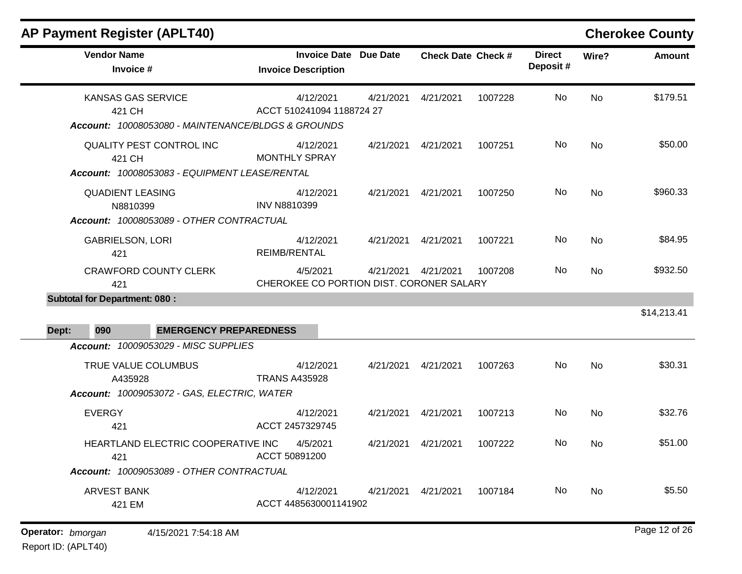| <b>AP Payment Register (APLT40)</b>                                                        |                                                            |           |                           |         |                           |           | <b>Cherokee County</b> |
|--------------------------------------------------------------------------------------------|------------------------------------------------------------|-----------|---------------------------|---------|---------------------------|-----------|------------------------|
| <b>Vendor Name</b><br>Invoice #                                                            | <b>Invoice Date Due Date</b><br><b>Invoice Description</b> |           | <b>Check Date Check #</b> |         | <b>Direct</b><br>Deposit# | Wire?     | <b>Amount</b>          |
| <b>KANSAS GAS SERVICE</b><br>421 CH<br>Account: 10008053080 - MAINTENANCE/BLDGS & GROUNDS  | 4/12/2021<br>ACCT 510241094 1188724 27                     | 4/21/2021 | 4/21/2021                 | 1007228 | <b>No</b>                 | <b>No</b> | \$179.51               |
| <b>QUALITY PEST CONTROL INC</b><br>421 CH<br>Account: 10008053083 - EQUIPMENT LEASE/RENTAL | 4/12/2021<br><b>MONTHLY SPRAY</b>                          | 4/21/2021 | 4/21/2021                 | 1007251 | <b>No</b>                 | <b>No</b> | \$50.00                |
| <b>QUADIENT LEASING</b><br>N8810399<br>Account: 10008053089 - OTHER CONTRACTUAL            | 4/12/2021<br><b>INV N8810399</b>                           | 4/21/2021 | 4/21/2021                 | 1007250 | <b>No</b>                 | <b>No</b> | \$960.33               |
| <b>GABRIELSON, LORI</b><br>421                                                             | 4/12/2021<br>REIMB/RENTAL                                  | 4/21/2021 | 4/21/2021                 | 1007221 | <b>No</b>                 | <b>No</b> | \$84.95                |
| <b>CRAWFORD COUNTY CLERK</b><br>421                                                        | 4/5/2021<br>CHEROKEE CO PORTION DIST. CORONER SALARY       | 4/21/2021 | 4/21/2021                 | 1007208 | <b>No</b>                 | <b>No</b> | \$932.50               |
| <b>Subtotal for Department: 080:</b>                                                       |                                                            |           |                           |         |                           |           |                        |
|                                                                                            |                                                            |           |                           |         |                           |           | \$14,213.41            |
| <b>EMERGENCY PREPAREDNESS</b><br>Dept:<br>090                                              |                                                            |           |                           |         |                           |           |                        |
| Account: 10009053029 - MISC SUPPLIES                                                       |                                                            |           |                           |         |                           |           |                        |
| TRUE VALUE COLUMBUS<br>A435928                                                             | 4/12/2021<br><b>TRANS A435928</b>                          | 4/21/2021 | 4/21/2021                 | 1007263 | <b>No</b>                 | No        | \$30.31                |
| Account: 10009053072 - GAS, ELECTRIC, WATER                                                |                                                            |           |                           |         |                           |           |                        |
| <b>EVERGY</b><br>421                                                                       | 4/12/2021<br>ACCT 2457329745                               | 4/21/2021 | 4/21/2021                 | 1007213 | <b>No</b>                 | <b>No</b> | \$32.76                |
| HEARTLAND ELECTRIC COOPERATIVE INC<br>421                                                  | 4/5/2021<br>ACCT 50891200                                  |           | 4/21/2021  4/21/2021      | 1007222 | No                        | No        | \$51.00                |
| Account: 10009053089 - OTHER CONTRACTUAL                                                   |                                                            |           |                           |         |                           |           |                        |
| <b>ARVEST BANK</b><br>421 EM                                                               | 4/12/2021<br>ACCT 4485630001141902                         |           | 4/21/2021  4/21/2021      | 1007184 | No.                       | No        | \$5.50                 |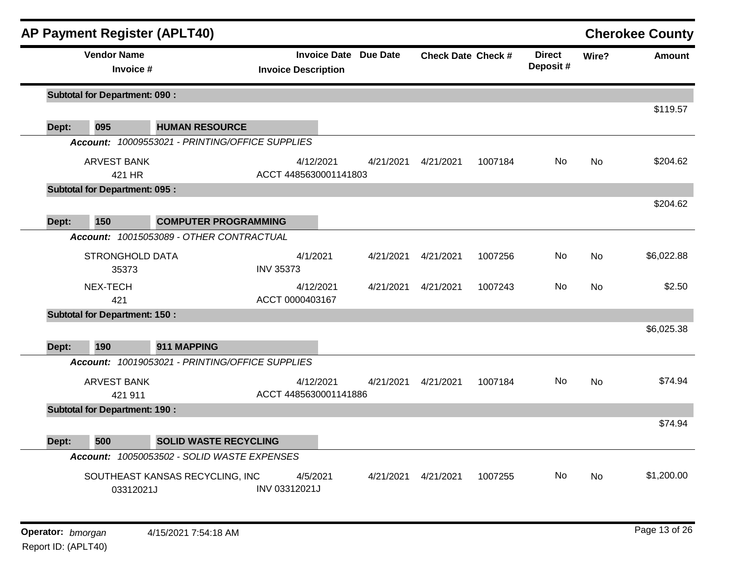|       | <b>AP Payment Register (APLT40)</b>  |                                                 |                                    |                              |           |                           |                           |           | <b>Cherokee County</b> |
|-------|--------------------------------------|-------------------------------------------------|------------------------------------|------------------------------|-----------|---------------------------|---------------------------|-----------|------------------------|
|       | <b>Vendor Name</b><br>Invoice #      |                                                 | <b>Invoice Description</b>         | <b>Invoice Date Due Date</b> |           | <b>Check Date Check #</b> | <b>Direct</b><br>Deposit# | Wire?     | <b>Amount</b>          |
|       | <b>Subtotal for Department: 090:</b> |                                                 |                                    |                              |           |                           |                           |           |                        |
| Dept: | 095                                  | <b>HUMAN RESOURCE</b>                           |                                    |                              |           |                           |                           |           | \$119.57               |
|       |                                      | Account: 10009553021 - PRINTING/OFFICE SUPPLIES |                                    |                              |           |                           |                           |           |                        |
|       | <b>ARVEST BANK</b><br>421 HR         |                                                 | 4/12/2021<br>ACCT 4485630001141803 | 4/21/2021                    | 4/21/2021 | 1007184                   | No                        | <b>No</b> | \$204.62               |
|       | <b>Subtotal for Department: 095:</b> |                                                 |                                    |                              |           |                           |                           |           |                        |
| Dept: | 150                                  | <b>COMPUTER PROGRAMMING</b>                     |                                    |                              |           |                           |                           |           | \$204.62               |
|       |                                      | Account: 10015053089 - OTHER CONTRACTUAL        |                                    |                              |           |                           |                           |           |                        |
|       | <b>STRONGHOLD DATA</b>               |                                                 | 4/1/2021                           | 4/21/2021                    | 4/21/2021 | 1007256                   | <b>No</b>                 | <b>No</b> | \$6,022.88             |
|       | 35373                                |                                                 | <b>INV 35373</b>                   |                              |           |                           |                           |           |                        |
|       | NEX-TECH<br>421                      |                                                 | 4/12/2021<br>ACCT 0000403167       | 4/21/2021                    | 4/21/2021 | 1007243                   | No.                       | <b>No</b> | \$2.50                 |
|       | <b>Subtotal for Department: 150:</b> |                                                 |                                    |                              |           |                           |                           |           |                        |
|       |                                      |                                                 |                                    |                              |           |                           |                           |           | \$6,025.38             |
| Dept: | 190                                  | 911 MAPPING                                     |                                    |                              |           |                           |                           |           |                        |
|       |                                      | Account: 10019053021 - PRINTING/OFFICE SUPPLIES |                                    |                              |           |                           |                           |           |                        |
|       | <b>ARVEST BANK</b><br>421 911        |                                                 | 4/12/2021<br>ACCT 4485630001141886 | 4/21/2021                    | 4/21/2021 | 1007184                   | No.                       | <b>No</b> | \$74.94                |
|       | <b>Subtotal for Department: 190:</b> |                                                 |                                    |                              |           |                           |                           |           |                        |
|       |                                      |                                                 |                                    |                              |           |                           |                           |           | \$74.94                |
| Dept: | 500                                  | <b>SOLID WASTE RECYCLING</b>                    |                                    |                              |           |                           |                           |           |                        |
|       |                                      | Account: 10050053502 - SOLID WASTE EXPENSES     |                                    |                              |           |                           |                           |           |                        |
|       | 03312021J                            | SOUTHEAST KANSAS RECYCLING, INC                 | 4/5/2021<br>INV 03312021J          | 4/21/2021                    | 4/21/2021 | 1007255                   | No.                       | <b>No</b> | \$1,200.00             |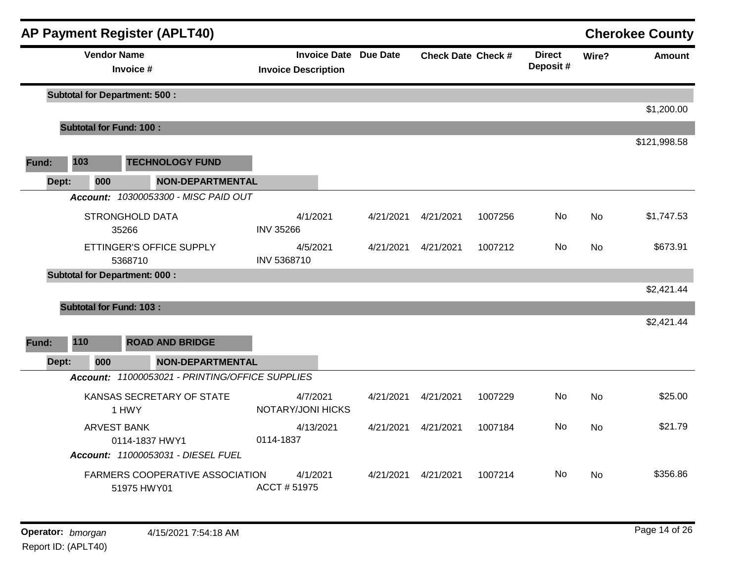|       |                                | <b>AP Payment Register (APLT40)</b>                   |                                                            |           |                           |         |                           |           | <b>Cherokee County</b> |
|-------|--------------------------------|-------------------------------------------------------|------------------------------------------------------------|-----------|---------------------------|---------|---------------------------|-----------|------------------------|
|       | <b>Vendor Name</b>             | Invoice #                                             | <b>Invoice Date Due Date</b><br><b>Invoice Description</b> |           | <b>Check Date Check #</b> |         | <b>Direct</b><br>Deposit# | Wire?     | <b>Amount</b>          |
|       |                                | <b>Subtotal for Department: 500:</b>                  |                                                            |           |                           |         |                           |           |                        |
|       |                                |                                                       |                                                            |           |                           |         |                           |           | \$1,200.00             |
|       | <b>Subtotal for Fund: 100:</b> |                                                       |                                                            |           |                           |         |                           |           |                        |
|       |                                |                                                       |                                                            |           |                           |         |                           |           | \$121,998.58           |
| Fund: | 103                            | <b>TECHNOLOGY FUND</b>                                |                                                            |           |                           |         |                           |           |                        |
| Dept: | 000                            | <b>NON-DEPARTMENTAL</b>                               |                                                            |           |                           |         |                           |           |                        |
|       |                                | Account: 10300053300 - MISC PAID OUT                  |                                                            |           |                           |         |                           |           |                        |
|       |                                | <b>STRONGHOLD DATA</b><br>35266                       | 4/1/2021<br><b>INV 35266</b>                               | 4/21/2021 | 4/21/2021                 | 1007256 | <b>No</b>                 | <b>No</b> | \$1,747.53             |
|       |                                | ETTINGER'S OFFICE SUPPLY                              | 4/5/2021                                                   | 4/21/2021 | 4/21/2021                 | 1007212 | No.                       | <b>No</b> | \$673.91               |
|       |                                | 5368710                                               | INV 5368710                                                |           |                           |         |                           |           |                        |
|       |                                | <b>Subtotal for Department: 000:</b>                  |                                                            |           |                           |         |                           |           |                        |
|       |                                |                                                       |                                                            |           |                           |         |                           |           | \$2,421.44             |
|       | <b>Subtotal for Fund: 103:</b> |                                                       |                                                            |           |                           |         |                           |           |                        |
|       |                                |                                                       |                                                            |           |                           |         |                           |           | \$2,421.44             |
| Fund: | 110                            | <b>ROAD AND BRIDGE</b>                                |                                                            |           |                           |         |                           |           |                        |
| Dept: | 000                            | <b>NON-DEPARTMENTAL</b>                               |                                                            |           |                           |         |                           |           |                        |
|       |                                | Account: 11000053021 - PRINTING/OFFICE SUPPLIES       |                                                            |           |                           |         |                           |           |                        |
|       |                                | KANSAS SECRETARY OF STATE<br>1 HWY                    | 4/7/2021<br>NOTARY/JONI HICKS                              | 4/21/2021 | 4/21/2021                 | 1007229 | No                        | <b>No</b> | \$25.00                |
|       |                                | <b>ARVEST BANK</b><br>0114-1837 HWY1                  | 4/13/2021<br>0114-1837                                     | 4/21/2021 | 4/21/2021                 | 1007184 | <b>No</b>                 | <b>No</b> | \$21.79                |
|       |                                | Account: 11000053031 - DIESEL FUEL                    |                                                            |           |                           |         |                           |           |                        |
|       |                                | <b>FARMERS COOPERATIVE ASSOCIATION</b><br>51975 HWY01 | 4/1/2021<br>ACCT #51975                                    | 4/21/2021 | 4/21/2021                 | 1007214 | No                        | No.       | \$356.86               |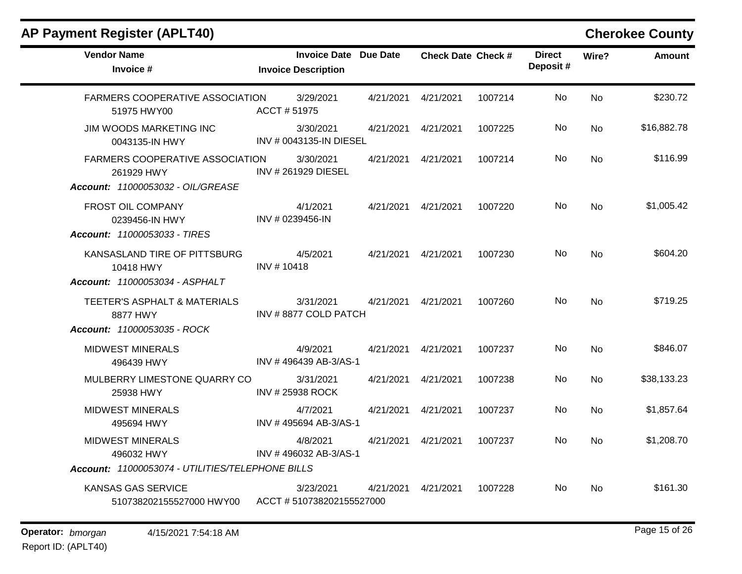| <b>Vendor Name</b><br><b>Invoice Date Due Date</b><br><b>Check Date Check #</b><br><b>Direct</b><br>Wire?<br>Deposit#<br>Invoice #<br><b>Invoice Description</b><br>No<br>FARMERS COOPERATIVE ASSOCIATION<br>3/29/2021<br>4/21/2021<br>1007214<br>No<br>4/21/2021<br>ACCT #51975<br>51975 HWY00<br>\$16,882.78<br><b>JIM WOODS MARKETING INC</b><br>3/30/2021<br>No<br><b>No</b><br>4/21/2021<br>4/21/2021<br>1007225<br>INV # 0043135-IN DIESEL<br>0043135-IN HWY<br>\$116.99<br><b>FARMERS COOPERATIVE ASSOCIATION</b><br>3/30/2021<br>1007214<br>No<br><b>No</b><br>4/21/2021<br>4/21/2021<br>INV #261929 DIESEL<br>261929 HWY<br>Account: 11000053032 - OIL/GREASE<br>FROST OIL COMPANY<br>4/1/2021<br>4/21/2021<br>4/21/2021<br>1007220<br>No<br><b>No</b><br>INV # 0239456-IN<br>0239456-IN HWY<br>Account: 11000053033 - TIRES<br>No<br>\$604.20<br>KANSASLAND TIRE OF PITTSBURG<br>4/5/2021<br>4/21/2021<br>4/21/2021<br>1007230<br><b>No</b><br>INV #10418<br>10418 HWY<br><b>Account: 11000053034 - ASPHALT</b><br>3/31/2021<br>No<br><b>No</b><br><b>TEETER'S ASPHALT &amp; MATERIALS</b><br>4/21/2021<br>4/21/2021<br>1007260<br>INV #8877 COLD PATCH<br>8877 HWY<br>Account: 11000053035 - ROCK<br>\$846.07<br><b>MIDWEST MINERALS</b><br>4/9/2021<br>4/21/2021<br>No<br><b>No</b><br>4/21/2021<br>1007237<br>INV #496439 AB-3/AS-1<br>496439 HWY<br>\$38,133.23<br>MULBERRY LIMESTONE QUARRY CO<br>3/31/2021<br>1007238<br>No<br><b>No</b><br>4/21/2021<br>4/21/2021<br><b>INV #25938 ROCK</b><br>25938 HWY<br><b>MIDWEST MINERALS</b><br>4/7/2021<br>No<br><b>No</b><br>4/21/2021<br>4/21/2021<br>1007237<br>INV #495694 AB-3/AS-1<br>495694 HWY<br><b>MIDWEST MINERALS</b><br>4/8/2021<br>4/21/2021<br>4/21/2021<br>No.<br>1007237<br>No<br>INV #496032 AB-3/AS-1<br>496032 HWY<br>Account: 11000053074 - UTILITIES/TELEPHONE BILLS<br>No<br><b>No</b><br><b>KANSAS GAS SERVICE</b><br>3/23/2021<br>4/21/2021<br>1007228<br>4/21/2021 | <b>AP Payment Register (APLT40)</b> |  |  |  | <b>Cherokee County</b> |
|-------------------------------------------------------------------------------------------------------------------------------------------------------------------------------------------------------------------------------------------------------------------------------------------------------------------------------------------------------------------------------------------------------------------------------------------------------------------------------------------------------------------------------------------------------------------------------------------------------------------------------------------------------------------------------------------------------------------------------------------------------------------------------------------------------------------------------------------------------------------------------------------------------------------------------------------------------------------------------------------------------------------------------------------------------------------------------------------------------------------------------------------------------------------------------------------------------------------------------------------------------------------------------------------------------------------------------------------------------------------------------------------------------------------------------------------------------------------------------------------------------------------------------------------------------------------------------------------------------------------------------------------------------------------------------------------------------------------------------------------------------------------------------------------------------------------------------------------------------------------------------------------------------------------------------------------------------|-------------------------------------|--|--|--|------------------------|
|                                                                                                                                                                                                                                                                                                                                                                                                                                                                                                                                                                                                                                                                                                                                                                                                                                                                                                                                                                                                                                                                                                                                                                                                                                                                                                                                                                                                                                                                                                                                                                                                                                                                                                                                                                                                                                                                                                                                                       |                                     |  |  |  | <b>Amount</b>          |
|                                                                                                                                                                                                                                                                                                                                                                                                                                                                                                                                                                                                                                                                                                                                                                                                                                                                                                                                                                                                                                                                                                                                                                                                                                                                                                                                                                                                                                                                                                                                                                                                                                                                                                                                                                                                                                                                                                                                                       |                                     |  |  |  | \$230.72               |
|                                                                                                                                                                                                                                                                                                                                                                                                                                                                                                                                                                                                                                                                                                                                                                                                                                                                                                                                                                                                                                                                                                                                                                                                                                                                                                                                                                                                                                                                                                                                                                                                                                                                                                                                                                                                                                                                                                                                                       |                                     |  |  |  |                        |
|                                                                                                                                                                                                                                                                                                                                                                                                                                                                                                                                                                                                                                                                                                                                                                                                                                                                                                                                                                                                                                                                                                                                                                                                                                                                                                                                                                                                                                                                                                                                                                                                                                                                                                                                                                                                                                                                                                                                                       |                                     |  |  |  |                        |
|                                                                                                                                                                                                                                                                                                                                                                                                                                                                                                                                                                                                                                                                                                                                                                                                                                                                                                                                                                                                                                                                                                                                                                                                                                                                                                                                                                                                                                                                                                                                                                                                                                                                                                                                                                                                                                                                                                                                                       |                                     |  |  |  | \$1,005.42             |
|                                                                                                                                                                                                                                                                                                                                                                                                                                                                                                                                                                                                                                                                                                                                                                                                                                                                                                                                                                                                                                                                                                                                                                                                                                                                                                                                                                                                                                                                                                                                                                                                                                                                                                                                                                                                                                                                                                                                                       |                                     |  |  |  |                        |
|                                                                                                                                                                                                                                                                                                                                                                                                                                                                                                                                                                                                                                                                                                                                                                                                                                                                                                                                                                                                                                                                                                                                                                                                                                                                                                                                                                                                                                                                                                                                                                                                                                                                                                                                                                                                                                                                                                                                                       |                                     |  |  |  | \$719.25               |
|                                                                                                                                                                                                                                                                                                                                                                                                                                                                                                                                                                                                                                                                                                                                                                                                                                                                                                                                                                                                                                                                                                                                                                                                                                                                                                                                                                                                                                                                                                                                                                                                                                                                                                                                                                                                                                                                                                                                                       |                                     |  |  |  |                        |
|                                                                                                                                                                                                                                                                                                                                                                                                                                                                                                                                                                                                                                                                                                                                                                                                                                                                                                                                                                                                                                                                                                                                                                                                                                                                                                                                                                                                                                                                                                                                                                                                                                                                                                                                                                                                                                                                                                                                                       |                                     |  |  |  |                        |
|                                                                                                                                                                                                                                                                                                                                                                                                                                                                                                                                                                                                                                                                                                                                                                                                                                                                                                                                                                                                                                                                                                                                                                                                                                                                                                                                                                                                                                                                                                                                                                                                                                                                                                                                                                                                                                                                                                                                                       |                                     |  |  |  | \$1,857.64             |
|                                                                                                                                                                                                                                                                                                                                                                                                                                                                                                                                                                                                                                                                                                                                                                                                                                                                                                                                                                                                                                                                                                                                                                                                                                                                                                                                                                                                                                                                                                                                                                                                                                                                                                                                                                                                                                                                                                                                                       |                                     |  |  |  | \$1,208.70             |
| ACCT #510738202155527000                                                                                                                                                                                                                                                                                                                                                                                                                                                                                                                                                                                                                                                                                                                                                                                                                                                                                                                                                                                                                                                                                                                                                                                                                                                                                                                                                                                                                                                                                                                                                                                                                                                                                                                                                                                                                                                                                                                              | 510738202155527000 HWY00            |  |  |  | \$161.30               |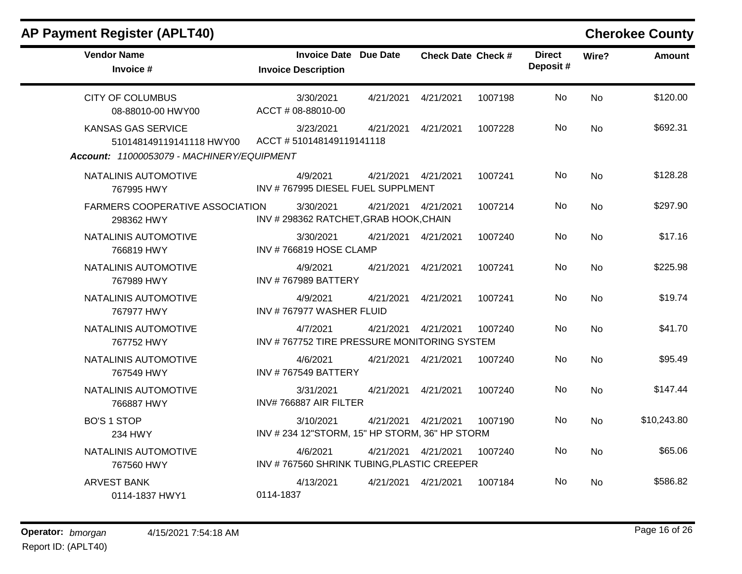| <b>Vendor Name</b><br>Invoice #                                                                     | <b>Invoice Date Due Date</b><br><b>Invoice Description</b>  |                      | <b>Check Date Check #</b> |         | <b>Direct</b><br>Deposit# | Wire?     | <b>Amount</b> |
|-----------------------------------------------------------------------------------------------------|-------------------------------------------------------------|----------------------|---------------------------|---------|---------------------------|-----------|---------------|
| <b>CITY OF COLUMBUS</b><br>08-88010-00 HWY00                                                        | 3/30/2021<br>ACCT # 08-88010-00                             | 4/21/2021            | 4/21/2021                 | 1007198 | No                        | <b>No</b> | \$120.00      |
| <b>KANSAS GAS SERVICE</b><br>510148149119141118 HWY00<br>Account: 11000053079 - MACHINERY/EQUIPMENT | 3/23/2021<br>ACCT #510148149119141118                       | 4/21/2021            | 4/21/2021                 | 1007228 | No.                       | <b>No</b> | \$692.31      |
| NATALINIS AUTOMOTIVE<br>767995 HWY                                                                  | 4/9/2021<br>INV #767995 DIESEL FUEL SUPPLMENT               | 4/21/2021            | 4/21/2021                 | 1007241 | No                        | <b>No</b> | \$128.28      |
| <b>FARMERS COOPERATIVE ASSOCIATION</b><br>298362 HWY                                                | 3/30/2021<br>INV # 298362 RATCHET, GRAB HOOK, CHAIN         | 4/21/2021  4/21/2021 |                           | 1007214 | No                        | <b>No</b> | \$297.90      |
| NATALINIS AUTOMOTIVE<br>766819 HWY                                                                  | 3/30/2021<br>INV #766819 HOSE CLAMP                         | 4/21/2021            | 4/21/2021                 | 1007240 | No                        | <b>No</b> | \$17.16       |
| NATALINIS AUTOMOTIVE<br>767989 HWY                                                                  | 4/9/2021<br><b>INV #767989 BATTERY</b>                      | 4/21/2021            | 4/21/2021                 | 1007241 | No                        | <b>No</b> | \$225.98      |
| NATALINIS AUTOMOTIVE<br>767977 HWY                                                                  | 4/9/2021<br>INV #767977 WASHER FLUID                        | 4/21/2021            | 4/21/2021                 | 1007241 | No.                       | <b>No</b> | \$19.74       |
| NATALINIS AUTOMOTIVE<br>767752 HWY                                                                  | 4/7/2021<br>INV #767752 TIRE PRESSURE MONITORING SYSTEM     | 4/21/2021            | 4/21/2021                 | 1007240 | No                        | <b>No</b> | \$41.70       |
| NATALINIS AUTOMOTIVE<br>767549 HWY                                                                  | 4/6/2021<br><b>INV #767549 BATTERY</b>                      | 4/21/2021            | 4/21/2021                 | 1007240 | No                        | <b>No</b> | \$95.49       |
| NATALINIS AUTOMOTIVE<br>766887 HWY                                                                  | 3/31/2021<br>INV#766887 AIR FILTER                          | 4/21/2021            | 4/21/2021                 | 1007240 | No                        | <b>No</b> | \$147.44      |
| <b>BO'S 1 STOP</b><br>234 HWY                                                                       | 3/10/2021<br>INV # 234 12"STORM, 15" HP STORM, 36" HP STORM | 4/21/2021            | 4/21/2021                 | 1007190 | No                        | <b>No</b> | \$10,243.80   |
| NATALINIS AUTOMOTIVE<br>767560 HWY                                                                  | 4/6/2021<br>INV #767560 SHRINK TUBING, PLASTIC CREEPER      | 4/21/2021  4/21/2021 |                           | 1007240 | No                        | <b>No</b> | \$65.06       |
| <b>ARVEST BANK</b><br>0114-1837 HWY1                                                                | 4/13/2021<br>0114-1837                                      | 4/21/2021            | 4/21/2021                 | 1007184 | No.                       | No.       | \$586.82      |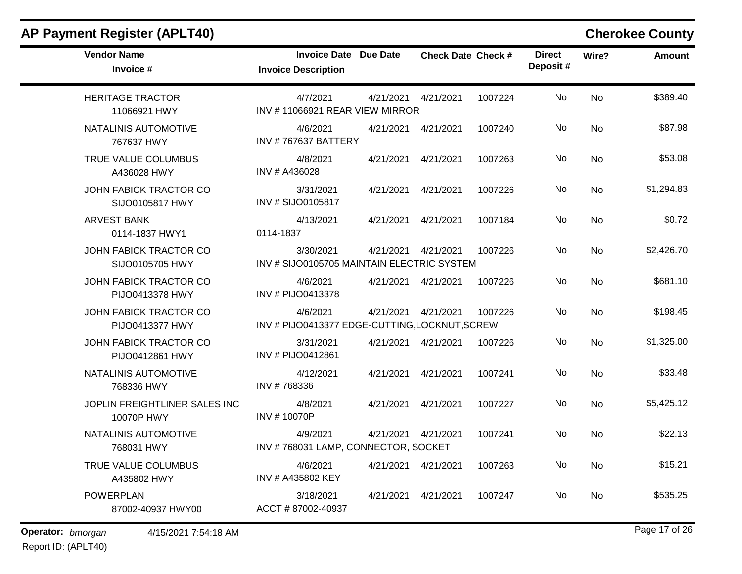| <b>Vendor Name</b><br>Invoice #             | <b>Invoice Date Due Date</b><br><b>Invoice Description</b> |                      | <b>Check Date Check #</b> |         | <b>Direct</b><br>Deposit# | Wire?     | <b>Amount</b> |
|---------------------------------------------|------------------------------------------------------------|----------------------|---------------------------|---------|---------------------------|-----------|---------------|
| <b>HERITAGE TRACTOR</b><br>11066921 HWY     | 4/7/2021<br>INV #11066921 REAR VIEW MIRROR                 | 4/21/2021            | 4/21/2021                 | 1007224 | No                        | <b>No</b> | \$389.40      |
| NATALINIS AUTOMOTIVE<br>767637 HWY          | 4/6/2021<br><b>INV #767637 BATTERY</b>                     | 4/21/2021            | 4/21/2021                 | 1007240 | No                        | <b>No</b> | \$87.98       |
| TRUE VALUE COLUMBUS<br>A436028 HWY          | 4/8/2021<br>INV # A436028                                  | 4/21/2021            | 4/21/2021                 | 1007263 | No                        | <b>No</b> | \$53.08       |
| JOHN FABICK TRACTOR CO<br>SIJO0105817 HWY   | 3/31/2021<br>INV # SIJO0105817                             | 4/21/2021            | 4/21/2021                 | 1007226 | No                        | <b>No</b> | \$1,294.83    |
| <b>ARVEST BANK</b><br>0114-1837 HWY1        | 4/13/2021<br>0114-1837                                     | 4/21/2021            | 4/21/2021                 | 1007184 | No                        | <b>No</b> | \$0.72        |
| JOHN FABICK TRACTOR CO<br>SIJO0105705 HWY   | 3/30/2021<br>INV # SIJO0105705 MAINTAIN ELECTRIC SYSTEM    | 4/21/2021  4/21/2021 |                           | 1007226 | No                        | <b>No</b> | \$2,426.70    |
| JOHN FABICK TRACTOR CO<br>PIJO0413378 HWY   | 4/6/2021<br>INV # PIJO0413378                              | 4/21/2021  4/21/2021 |                           | 1007226 | No                        | <b>No</b> | \$681.10      |
| JOHN FABICK TRACTOR CO<br>PIJO0413377 HWY   | 4/6/2021<br>INV # PIJO0413377 EDGE-CUTTING, LOCKNUT, SCREW | 4/21/2021            | 4/21/2021                 | 1007226 | No                        | <b>No</b> | \$198.45      |
| JOHN FABICK TRACTOR CO<br>PIJO0412861 HWY   | 3/31/2021<br>INV # PIJO0412861                             | 4/21/2021  4/21/2021 |                           | 1007226 | No                        | <b>No</b> | \$1,325.00    |
| NATALINIS AUTOMOTIVE<br>768336 HWY          | 4/12/2021<br>INV #768336                                   | 4/21/2021            | 4/21/2021                 | 1007241 | <b>No</b>                 | <b>No</b> | \$33.48       |
| JOPLIN FREIGHTLINER SALES INC<br>10070P HWY | 4/8/2021<br>INV #10070P                                    | 4/21/2021            | 4/21/2021                 | 1007227 | No                        | <b>No</b> | \$5,425.12    |
| NATALINIS AUTOMOTIVE<br>768031 HWY          | 4/9/2021<br>INV #768031 LAMP, CONNECTOR, SOCKET            | 4/21/2021            | 4/21/2021                 | 1007241 | No                        | No        | \$22.13       |
| TRUE VALUE COLUMBUS<br>A435802 HWY          | 4/6/2021<br>INV # A435802 KEY                              | 4/21/2021  4/21/2021 |                           | 1007263 | No                        | <b>No</b> | \$15.21       |
| <b>POWERPLAN</b><br>87002-40937 HWY00       | 3/18/2021<br>ACCT # 87002-40937                            | 4/21/2021            | 4/21/2021                 | 1007247 | No.                       | <b>No</b> | \$535.25      |

**Operator:** bmorgan 4/15/2021 7:54:18 AM

Report ID: (APLT40)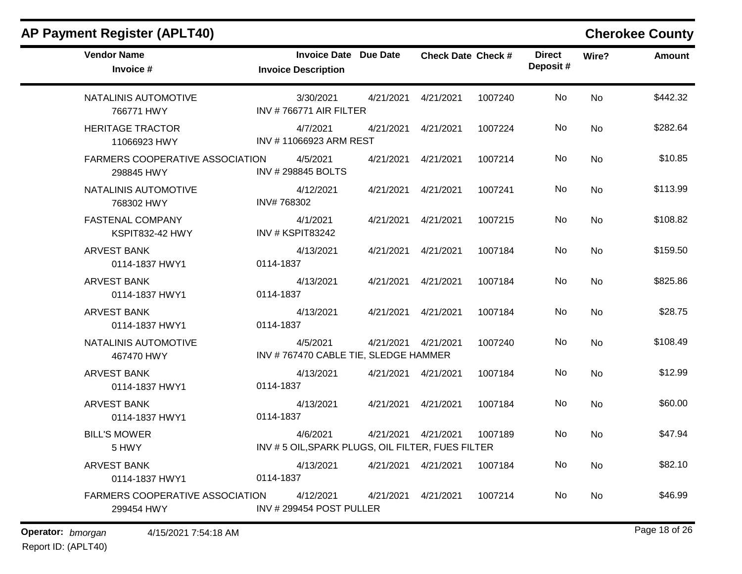| <b>AP Payment Register (APLT40)</b>                  |                                                              |                 |                           |         |                           |           | <b>Cherokee County</b> |
|------------------------------------------------------|--------------------------------------------------------------|-----------------|---------------------------|---------|---------------------------|-----------|------------------------|
| <b>Vendor Name</b><br>Invoice #                      | <b>Invoice Date</b><br><b>Invoice Description</b>            | <b>Due Date</b> | <b>Check Date Check #</b> |         | <b>Direct</b><br>Deposit# | Wire?     | <b>Amount</b>          |
| NATALINIS AUTOMOTIVE<br>766771 HWY                   | 3/30/2021<br>INV #766771 AIR FILTER                          | 4/21/2021       | 4/21/2021                 | 1007240 | <b>No</b>                 | <b>No</b> | \$442.32               |
| <b>HERITAGE TRACTOR</b><br>11066923 HWY              | 4/7/2021<br>INV #11066923 ARM REST                           | 4/21/2021       | 4/21/2021                 | 1007224 | No                        | No        | \$282.64               |
| <b>FARMERS COOPERATIVE ASSOCIATION</b><br>298845 HWY | 4/5/2021<br>INV #298845 BOLTS                                | 4/21/2021       | 4/21/2021                 | 1007214 | No                        | No        | \$10.85                |
| NATALINIS AUTOMOTIVE<br>768302 HWY                   | 4/12/2021<br>INV#768302                                      | 4/21/2021       | 4/21/2021                 | 1007241 | No                        | No        | \$113.99               |
| <b>FASTENAL COMPANY</b><br>KSPIT832-42 HWY           | 4/1/2021<br>INV # KSPIT83242                                 | 4/21/2021       | 4/21/2021                 | 1007215 | No                        | <b>No</b> | \$108.82               |
| <b>ARVEST BANK</b><br>0114-1837 HWY1                 | 4/13/2021<br>0114-1837                                       | 4/21/2021       | 4/21/2021                 | 1007184 | No                        | No        | \$159.50               |
| <b>ARVEST BANK</b><br>0114-1837 HWY1                 | 4/13/2021<br>0114-1837                                       | 4/21/2021       | 4/21/2021                 | 1007184 | No                        | <b>No</b> | \$825.86               |
| <b>ARVEST BANK</b><br>0114-1837 HWY1                 | 4/13/2021<br>0114-1837                                       | 4/21/2021       | 4/21/2021                 | 1007184 | No                        | No        | \$28.75                |
| NATALINIS AUTOMOTIVE<br>467470 HWY                   | 4/5/2021<br>INV #767470 CABLE TIE, SLEDGE HAMMER             | 4/21/2021       | 4/21/2021                 | 1007240 | No                        | <b>No</b> | \$108.49               |
| <b>ARVEST BANK</b><br>0114-1837 HWY1                 | 4/13/2021<br>0114-1837                                       | 4/21/2021       | 4/21/2021                 | 1007184 | No                        | No        | \$12.99                |
| <b>ARVEST BANK</b><br>0114-1837 HWY1                 | 4/13/2021<br>0114-1837                                       | 4/21/2021       | 4/21/2021                 | 1007184 | No                        | No        | \$60.00                |
| <b>BILL'S MOWER</b><br>5 HWY                         | 4/6/2021<br>INV #5 OIL, SPARK PLUGS, OIL FILTER, FUES FILTER | 4/21/2021       | 4/21/2021                 | 1007189 | No.                       | No        | \$47.94                |
| <b>ARVEST BANK</b><br>0114-1837 HWY1                 | 4/13/2021<br>0114-1837                                       |                 | 4/21/2021  4/21/2021      | 1007184 | No                        | No        | \$82.10                |
| FARMERS COOPERATIVE ASSOCIATION<br>299454 HWY        | 4/12/2021<br>INV #299454 POST PULLER                         | 4/21/2021       | 4/21/2021                 | 1007214 | No                        | No        | \$46.99                |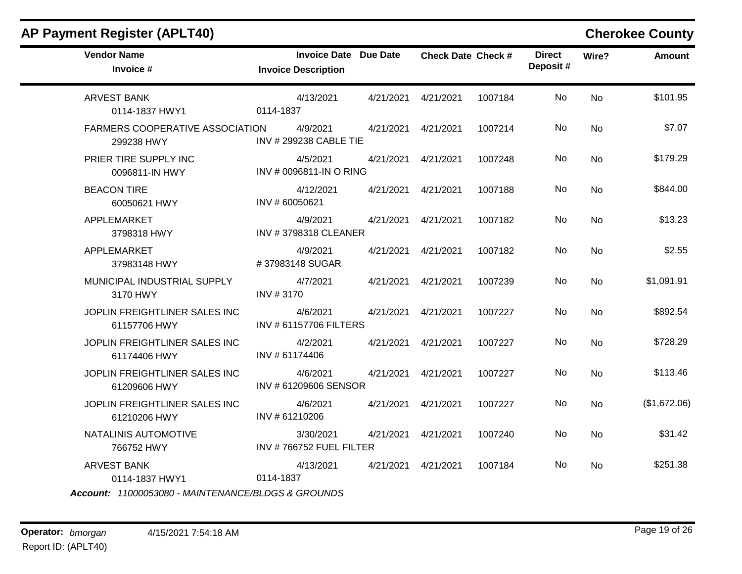| <b>AP Payment Register (APLT40)</b>           |                                                            |           |                           |         |                           |           | <b>Cherokee County</b> |
|-----------------------------------------------|------------------------------------------------------------|-----------|---------------------------|---------|---------------------------|-----------|------------------------|
| <b>Vendor Name</b><br>Invoice #               | <b>Invoice Date Due Date</b><br><b>Invoice Description</b> |           | <b>Check Date Check #</b> |         | <b>Direct</b><br>Deposit# | Wire?     | <b>Amount</b>          |
| <b>ARVEST BANK</b><br>0114-1837 HWY1          | 4/13/2021<br>0114-1837                                     | 4/21/2021 | 4/21/2021                 | 1007184 | No.                       | <b>No</b> | \$101.95               |
| FARMERS COOPERATIVE ASSOCIATION<br>299238 HWY | 4/9/2021<br><b>INV #299238 CABLE TIE</b>                   | 4/21/2021 | 4/21/2021                 | 1007214 | No                        | No        | \$7.07                 |
| PRIER TIRE SUPPLY INC<br>0096811-IN HWY       | 4/5/2021<br>INV # 0096811-IN O RING                        | 4/21/2021 | 4/21/2021                 | 1007248 | No.                       | <b>No</b> | \$179.29               |
| <b>BEACON TIRE</b><br>60050621 HWY            | 4/12/2021<br>INV #60050621                                 | 4/21/2021 | 4/21/2021                 | 1007188 | No                        | <b>No</b> | \$844.00               |
| APPLEMARKET<br>3798318 HWY                    | 4/9/2021<br>INV #3798318 CLEANER                           | 4/21/2021 | 4/21/2021                 | 1007182 | No.                       | No        | \$13.23                |
| APPLEMARKET<br>37983148 HWY                   | 4/9/2021<br>#37983148 SUGAR                                | 4/21/2021 | 4/21/2021                 | 1007182 | <b>No</b>                 | <b>No</b> | \$2.55                 |
| MUNICIPAL INDUSTRIAL SUPPLY<br>3170 HWY       | 4/7/2021<br>INV #3170                                      | 4/21/2021 | 4/21/2021                 | 1007239 | No                        | No        | \$1,091.91             |
| JOPLIN FREIGHTLINER SALES INC<br>61157706 HWY | 4/6/2021<br>INV #61157706 FILTERS                          | 4/21/2021 | 4/21/2021                 | 1007227 | No                        | No        | \$892.54               |
| JOPLIN FREIGHTLINER SALES INC<br>61174406 HWY | 4/2/2021<br>INV #61174406                                  | 4/21/2021 | 4/21/2021                 | 1007227 | No                        | No        | \$728.29               |
| JOPLIN FREIGHTLINER SALES INC<br>61209606 HWY | 4/6/2021<br>INV # 61209606 SENSOR                          | 4/21/2021 | 4/21/2021                 | 1007227 | <b>No</b>                 | <b>No</b> | \$113.46               |
| JOPLIN FREIGHTLINER SALES INC<br>61210206 HWY | 4/6/2021<br>INV #61210206                                  | 4/21/2021 | 4/21/2021                 | 1007227 | No.                       | <b>No</b> | (\$1,672.06)           |
| NATALINIS AUTOMOTIVE<br>766752 HWY            | 3/30/2021<br>INV #766752 FUEL FILTER                       | 4/21/2021 | 4/21/2021                 | 1007240 | No.                       | No        | \$31.42                |
| <b>ARVEST BANK</b><br>0114-1837 HWY1          | 4/13/2021<br>0114-1837                                     | 4/21/2021 | 4/21/2021                 | 1007184 | <b>No</b>                 | No        | \$251.38               |

*Account: 11000053080 - MAINTENANCE/BLDGS & GROUNDS*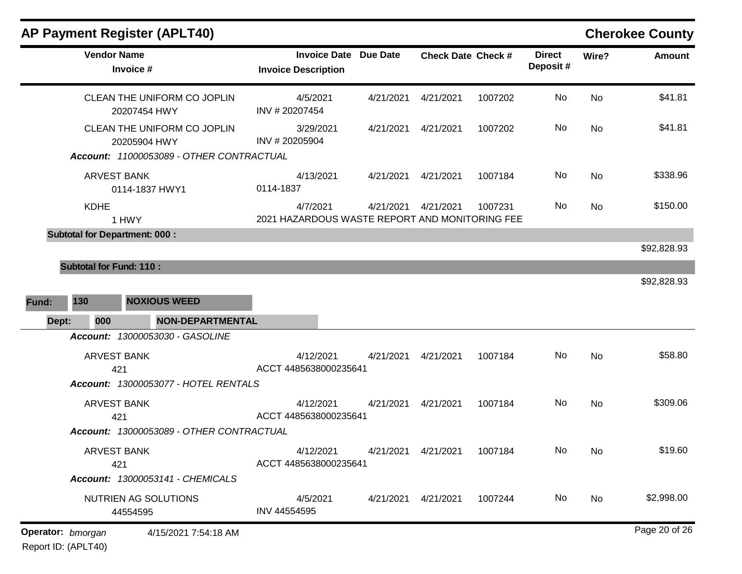| <b>Vendor Name</b><br>Invoice #             | <b>Invoice Date Due Date</b><br><b>Invoice Description</b> |           | <b>Check Date Check #</b> |         | <b>Direct</b><br>Deposit # | Wire?     | Amount        |
|---------------------------------------------|------------------------------------------------------------|-----------|---------------------------|---------|----------------------------|-----------|---------------|
| CLEAN THE UNIFORM CO JOPLIN<br>20207454 HWY | 4/5/2021<br>INV #20207454                                  | 4/21/2021 | 4/21/2021                 | 1007202 | No                         | <b>No</b> | \$41.81       |
| CLEAN THE UNIFORM CO JOPLIN<br>20205904 HWY | 3/29/2021<br>INV #20205904                                 | 4/21/2021 | 4/21/2021                 | 1007202 | No                         | <b>No</b> | \$41.81       |
| Account: 11000053089 - OTHER CONTRACTUAL    |                                                            |           |                           |         |                            |           |               |
| <b>ARVEST BANK</b><br>0114-1837 HWY1        | 4/13/2021<br>0114-1837                                     |           | 4/21/2021  4/21/2021      | 1007184 | No                         | No        | \$338.96      |
| <b>KDHE</b><br>1 HWY                        | 4/7/2021<br>2021 HAZARDOUS WASTE REPORT AND MONITORING FEE | 4/21/2021 | 4/21/2021                 | 1007231 | No                         | No        | \$150.00      |
| <b>Subtotal for Department: 000:</b>        |                                                            |           |                           |         |                            |           |               |
|                                             |                                                            |           |                           |         |                            |           | \$92,828.93   |
| <b>Subtotal for Fund: 110:</b>              |                                                            |           |                           |         |                            |           |               |
| 130<br><b>NOXIOUS WEED</b><br>Fund:         |                                                            |           |                           |         |                            |           | \$92,828.93   |
| 000<br><b>NON-DEPARTMENTAL</b><br>Dept:     |                                                            |           |                           |         |                            |           |               |
| Account: 13000053030 - GASOLINE             |                                                            |           |                           |         |                            |           |               |
| <b>ARVEST BANK</b><br>421                   | 4/12/2021<br>ACCT 4485638000235641                         | 4/21/2021 | 4/21/2021                 | 1007184 | No                         | <b>No</b> | \$58.80       |
| Account: 13000053077 - HOTEL RENTALS        |                                                            |           |                           |         |                            |           |               |
| <b>ARVEST BANK</b><br>421                   | 4/12/2021<br>ACCT 4485638000235641                         | 4/21/2021 | 4/21/2021                 | 1007184 | No                         | <b>No</b> | \$309.06      |
| Account: 13000053089 - OTHER CONTRACTUAL    |                                                            |           |                           |         |                            |           |               |
| <b>ARVEST BANK</b><br>421                   | 4/12/2021<br>ACCT 4485638000235641                         | 4/21/2021 | 4/21/2021                 | 1007184 | No.                        | No        | \$19.60       |
| Account: 13000053141 - CHEMICALS            |                                                            |           |                           |         |                            |           |               |
| NUTRIEN AG SOLUTIONS<br>44554595            | 4/5/2021<br>INV 44554595                                   |           | 4/21/2021  4/21/2021      | 1007244 | No                         | No        | \$2,998.00    |
| Operator: bmorgan<br>4/15/2021 7:54:18 AM   |                                                            |           |                           |         |                            |           | Page 20 of 26 |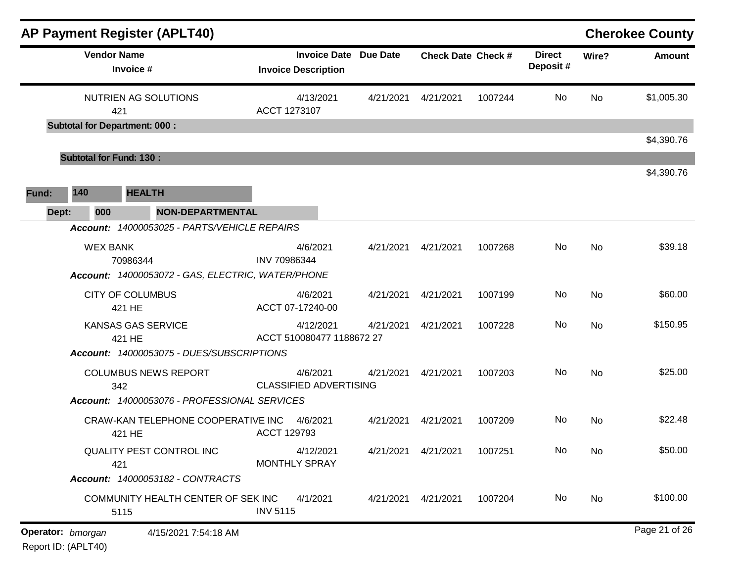|       |                   | <b>AP Payment Register (APLT40)</b>               |                                                            |           |                           |         |                           |           | <b>Cherokee County</b> |
|-------|-------------------|---------------------------------------------------|------------------------------------------------------------|-----------|---------------------------|---------|---------------------------|-----------|------------------------|
|       |                   | <b>Vendor Name</b><br>Invoice #                   | <b>Invoice Date Due Date</b><br><b>Invoice Description</b> |           | <b>Check Date Check #</b> |         | <b>Direct</b><br>Deposit# | Wire?     | <b>Amount</b>          |
|       |                   | NUTRIEN AG SOLUTIONS<br>421                       | 4/13/2021<br>ACCT 1273107                                  | 4/21/2021 | 4/21/2021                 | 1007244 | No                        | <b>No</b> | \$1,005.30             |
|       |                   | <b>Subtotal for Department: 000:</b>              |                                                            |           |                           |         |                           |           | \$4,390.76             |
|       |                   | <b>Subtotal for Fund: 130:</b>                    |                                                            |           |                           |         |                           |           |                        |
| Fund: | 140               | <b>HEALTH</b>                                     |                                                            |           |                           |         |                           |           | \$4,390.76             |
| Dept: | 000               | <b>NON-DEPARTMENTAL</b>                           |                                                            |           |                           |         |                           |           |                        |
|       |                   | Account: 14000053025 - PARTS/VEHICLE REPAIRS      |                                                            |           |                           |         |                           |           |                        |
|       |                   | <b>WEX BANK</b><br>70986344                       | 4/6/2021<br>INV 70986344                                   | 4/21/2021 | 4/21/2021                 | 1007268 | No                        | <b>No</b> | \$39.18                |
|       |                   | Account: 14000053072 - GAS, ELECTRIC, WATER/PHONE |                                                            |           |                           |         |                           |           |                        |
|       |                   | <b>CITY OF COLUMBUS</b><br>421 HE                 | 4/6/2021<br>ACCT 07-17240-00                               | 4/21/2021 | 4/21/2021                 | 1007199 | No                        | <b>No</b> | \$60.00                |
|       |                   | KANSAS GAS SERVICE<br>421 HE                      | 4/12/2021<br>ACCT 510080477 1188672 27                     | 4/21/2021 | 4/21/2021                 | 1007228 | No                        | <b>No</b> | \$150.95               |
|       |                   | Account: 14000053075 - DUES/SUBSCRIPTIONS         |                                                            |           |                           |         |                           |           |                        |
|       |                   | <b>COLUMBUS NEWS REPORT</b><br>342                | 4/6/2021<br><b>CLASSIFIED ADVERTISING</b>                  | 4/21/2021 | 4/21/2021                 | 1007203 | No                        | <b>No</b> | \$25.00                |
|       |                   | Account: 14000053076 - PROFESSIONAL SERVICES      |                                                            |           |                           |         |                           |           |                        |
|       |                   | CRAW-KAN TELEPHONE COOPERATIVE INC<br>421 HE      | 4/6/2021<br><b>ACCT 129793</b>                             | 4/21/2021 | 4/21/2021                 | 1007209 | <b>No</b>                 | <b>No</b> | \$22.48                |
|       |                   | QUALITY PEST CONTROL INC<br>421                   | 4/12/2021<br><b>MONTHLY SPRAY</b>                          | 4/21/2021 | 4/21/2021                 | 1007251 | No                        | <b>No</b> | \$50.00                |
|       |                   | Account: 14000053182 - CONTRACTS                  |                                                            |           |                           |         |                           |           |                        |
|       |                   | COMMUNITY HEALTH CENTER OF SEK INC<br>5115        | 4/1/2021<br><b>INV 5115</b>                                | 4/21/2021 | 4/21/2021                 | 1007204 | No                        | No        | \$100.00               |
|       | Operator: bmorgan | 4/15/2021 7:54:18 AM                              |                                                            |           |                           |         |                           |           | Page 21 of 26          |

Report ID: (APLT40)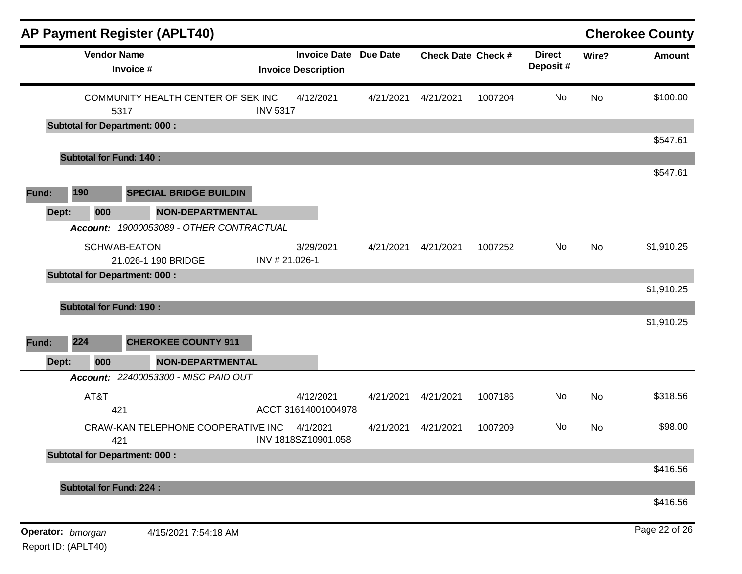|                   |                    | <b>AP Payment Register (APLT40)</b>        |                                  |                              |                           |         |                           |           | <b>Cherokee County</b> |
|-------------------|--------------------|--------------------------------------------|----------------------------------|------------------------------|---------------------------|---------|---------------------------|-----------|------------------------|
|                   | <b>Vendor Name</b> | Invoice #                                  | <b>Invoice Description</b>       | <b>Invoice Date Due Date</b> | <b>Check Date Check #</b> |         | <b>Direct</b><br>Deposit# | Wire?     | <b>Amount</b>          |
|                   |                    | COMMUNITY HEALTH CENTER OF SEK INC<br>5317 | 4/12/2021<br><b>INV 5317</b>     | 4/21/2021                    | 4/21/2021                 | 1007204 | <b>No</b>                 | No        | \$100.00               |
|                   |                    | <b>Subtotal for Department: 000:</b>       |                                  |                              |                           |         |                           |           |                        |
|                   |                    |                                            |                                  |                              |                           |         |                           |           | \$547.61               |
|                   |                    | <b>Subtotal for Fund: 140:</b>             |                                  |                              |                           |         |                           |           |                        |
| Fund:             | 190                | <b>SPECIAL BRIDGE BUILDIN</b>              |                                  |                              |                           |         |                           |           | \$547.61               |
| Dept:             | 000                | <b>NON-DEPARTMENTAL</b>                    |                                  |                              |                           |         |                           |           |                        |
|                   |                    | Account: 19000053089 - OTHER CONTRACTUAL   |                                  |                              |                           |         |                           |           |                        |
|                   |                    | <b>SCHWAB-EATON</b><br>21.026-1 190 BRIDGE | 3/29/2021<br>INV #21.026-1       | 4/21/2021                    | 4/21/2021                 | 1007252 | No                        | No        | \$1,910.25             |
|                   |                    | <b>Subtotal for Department: 000:</b>       |                                  |                              |                           |         |                           |           |                        |
|                   |                    |                                            |                                  |                              |                           |         |                           |           | \$1,910.25             |
|                   |                    | <b>Subtotal for Fund: 190:</b>             |                                  |                              |                           |         |                           |           |                        |
| Fund:             | 224                | <b>CHEROKEE COUNTY 911</b>                 |                                  |                              |                           |         |                           |           | \$1,910.25             |
| Dept:             | 000                | <b>NON-DEPARTMENTAL</b>                    |                                  |                              |                           |         |                           |           |                        |
|                   |                    | Account: 22400053300 - MISC PAID OUT       |                                  |                              |                           |         |                           |           |                        |
|                   | AT&T<br>421        |                                            | 4/12/2021<br>ACCT 31614001004978 | 4/21/2021                    | 4/21/2021                 | 1007186 | No                        | <b>No</b> | \$318.56               |
|                   | 421                | CRAW-KAN TELEPHONE COOPERATIVE INC         | 4/1/2021<br>INV 1818SZ10901.058  | 4/21/2021                    | 4/21/2021                 | 1007209 | No                        | No        | \$98.00                |
|                   |                    | <b>Subtotal for Department: 000:</b>       |                                  |                              |                           |         |                           |           |                        |
|                   |                    |                                            |                                  |                              |                           |         |                           |           | \$416.56               |
|                   |                    | <b>Subtotal for Fund: 224:</b>             |                                  |                              |                           |         |                           |           |                        |
|                   |                    |                                            |                                  |                              |                           |         |                           |           | \$416.56               |
| Operator: bmorgan |                    | 4/15/2021 7:54:18 AM                       |                                  |                              |                           |         |                           |           | Page 22 of 26          |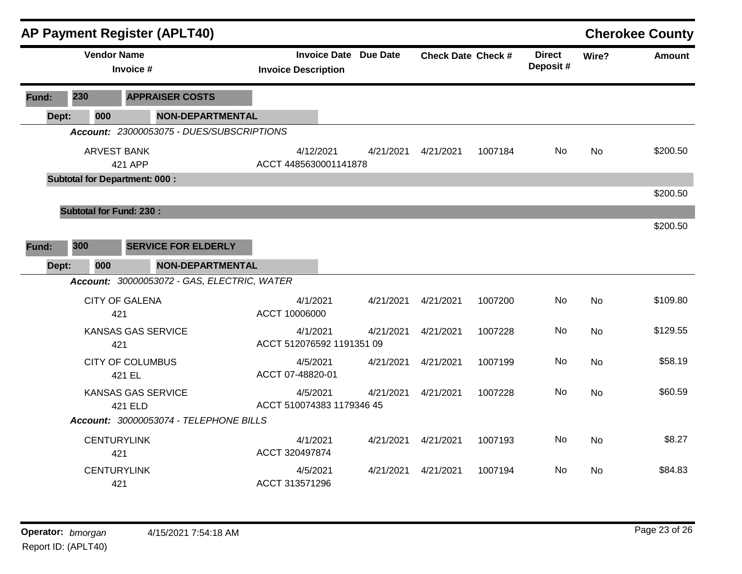|       |                                      |           | <b>AP Payment Register (APLT40)</b>         |                                       |                              |                           |         |                           |           | <b>Cherokee County</b> |
|-------|--------------------------------------|-----------|---------------------------------------------|---------------------------------------|------------------------------|---------------------------|---------|---------------------------|-----------|------------------------|
|       | <b>Vendor Name</b>                   | Invoice # |                                             | <b>Invoice Description</b>            | <b>Invoice Date Due Date</b> | <b>Check Date Check #</b> |         | <b>Direct</b><br>Deposit# | Wire?     | <b>Amount</b>          |
| Fund: | 230                                  |           | <b>APPRAISER COSTS</b>                      |                                       |                              |                           |         |                           |           |                        |
| Dept: | 000                                  |           | <b>NON-DEPARTMENTAL</b>                     |                                       |                              |                           |         |                           |           |                        |
|       |                                      |           | Account: 23000053075 - DUES/SUBSCRIPTIONS   |                                       |                              |                           |         |                           |           |                        |
|       | <b>ARVEST BANK</b>                   | 421 APP   |                                             | 4/12/2021<br>ACCT 4485630001141878    | 4/21/2021                    | 4/21/2021                 | 1007184 | No.                       | <b>No</b> | \$200.50               |
|       | <b>Subtotal for Department: 000:</b> |           |                                             |                                       |                              |                           |         |                           |           | \$200.50               |
|       | <b>Subtotal for Fund: 230:</b>       |           |                                             |                                       |                              |                           |         |                           |           |                        |
|       |                                      |           |                                             |                                       |                              |                           |         |                           |           | \$200.50               |
| Fund: | 300                                  |           | <b>SERVICE FOR ELDERLY</b>                  |                                       |                              |                           |         |                           |           |                        |
| Dept: | 000                                  |           | <b>NON-DEPARTMENTAL</b>                     |                                       |                              |                           |         |                           |           |                        |
|       |                                      |           | Account: 30000053072 - GAS, ELECTRIC, WATER |                                       |                              |                           |         |                           |           |                        |
|       | <b>CITY OF GALENA</b>                | 421       |                                             | 4/1/2021<br>ACCT 10006000             | 4/21/2021                    | 4/21/2021                 | 1007200 | <b>No</b>                 | <b>No</b> | \$109.80               |
|       |                                      | 421       | <b>KANSAS GAS SERVICE</b>                   | 4/1/2021<br>ACCT 512076592 1191351 09 | 4/21/2021                    | 4/21/2021                 | 1007228 | No                        | <b>No</b> | \$129.55               |
|       | <b>CITY OF COLUMBUS</b>              | 421 EL    |                                             | 4/5/2021<br>ACCT 07-48820-01          | 4/21/2021                    | 4/21/2021                 | 1007199 | <b>No</b>                 | <b>No</b> | \$58.19                |
|       |                                      | 421 ELD   | <b>KANSAS GAS SERVICE</b>                   | 4/5/2021<br>ACCT 510074383 1179346 45 | 4/21/2021                    | 4/21/2021                 | 1007228 | No                        | <b>No</b> | \$60.59                |
|       |                                      |           | Account: 30000053074 - TELEPHONE BILLS      |                                       |                              |                           |         |                           |           |                        |
|       | <b>CENTURYLINK</b>                   | 421       |                                             | 4/1/2021<br>ACCT 320497874            | 4/21/2021                    | 4/21/2021                 | 1007193 | <b>No</b>                 | <b>No</b> | \$8.27                 |
|       | <b>CENTURYLINK</b>                   | 421       |                                             | 4/5/2021<br>ACCT 313571296            | 4/21/2021                    | 4/21/2021                 | 1007194 | No.                       | <b>No</b> | \$84.83                |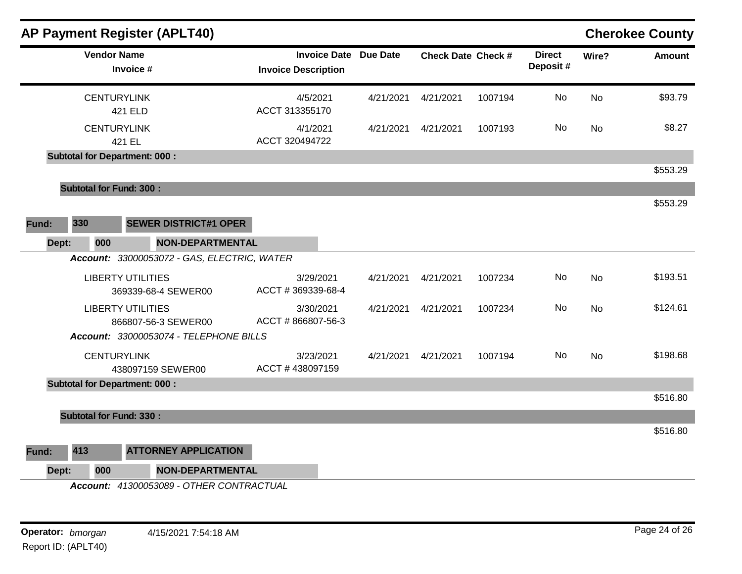|       | <b>AP Payment Register (APLT40)</b>             |                                                   |                 |                           |         |                           |           | <b>Cherokee County</b> |
|-------|-------------------------------------------------|---------------------------------------------------|-----------------|---------------------------|---------|---------------------------|-----------|------------------------|
|       | <b>Vendor Name</b><br>Invoice #                 | <b>Invoice Date</b><br><b>Invoice Description</b> | <b>Due Date</b> | <b>Check Date Check #</b> |         | <b>Direct</b><br>Deposit# | Wire?     | <b>Amount</b>          |
|       | <b>CENTURYLINK</b><br>421 ELD                   | 4/5/2021<br>ACCT 313355170                        | 4/21/2021       | 4/21/2021                 | 1007194 | No                        | <b>No</b> | \$93.79                |
|       | <b>CENTURYLINK</b><br>421 EL                    | 4/1/2021<br>ACCT 320494722                        | 4/21/2021       | 4/21/2021                 | 1007193 | No                        | <b>No</b> | \$8.27                 |
|       | <b>Subtotal for Department: 000:</b>            |                                                   |                 |                           |         |                           |           |                        |
|       |                                                 |                                                   |                 |                           |         |                           |           | \$553.29               |
|       | <b>Subtotal for Fund: 300:</b>                  |                                                   |                 |                           |         |                           |           |                        |
|       |                                                 |                                                   |                 |                           |         |                           |           | \$553.29               |
| Fund: | 330<br><b>SEWER DISTRICT#1 OPER</b>             |                                                   |                 |                           |         |                           |           |                        |
| Dept: | <b>NON-DEPARTMENTAL</b><br>000                  |                                                   |                 |                           |         |                           |           |                        |
|       | Account: 33000053072 - GAS, ELECTRIC, WATER     |                                                   |                 |                           |         |                           |           |                        |
|       | <b>LIBERTY UTILITIES</b><br>369339-68-4 SEWER00 | 3/29/2021<br>ACCT #369339-68-4                    | 4/21/2021       | 4/21/2021                 | 1007234 | No                        | <b>No</b> | \$193.51               |
|       | <b>LIBERTY UTILITIES</b><br>866807-56-3 SEWER00 | 3/30/2021<br>ACCT #866807-56-3                    | 4/21/2021       | 4/21/2021                 | 1007234 | No.                       | <b>No</b> | \$124.61               |
|       | Account: 33000053074 - TELEPHONE BILLS          |                                                   |                 |                           |         |                           |           |                        |
|       | <b>CENTURYLINK</b><br>438097159 SEWER00         | 3/23/2021<br>ACCT #438097159                      | 4/21/2021       | 4/21/2021                 | 1007194 | No                        | No        | \$198.68               |
|       | <b>Subtotal for Department: 000:</b>            |                                                   |                 |                           |         |                           |           |                        |
|       |                                                 |                                                   |                 |                           |         |                           |           | \$516.80               |
|       | <b>Subtotal for Fund: 330:</b>                  |                                                   |                 |                           |         |                           |           |                        |
|       |                                                 |                                                   |                 |                           |         |                           |           | \$516.80               |
| Fund: | 413<br><b>ATTORNEY APPLICATION</b>              |                                                   |                 |                           |         |                           |           |                        |
| Dept: | 000<br><b>NON-DEPARTMENTAL</b>                  |                                                   |                 |                           |         |                           |           |                        |
|       | Account: 41300053089 - OTHER CONTRACTUAL        |                                                   |                 |                           |         |                           |           |                        |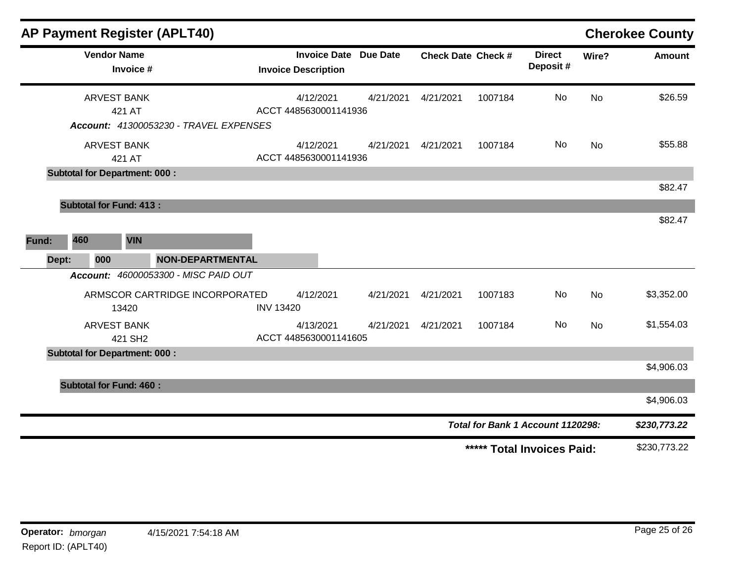| <b>AP Payment Register (APLT40)</b>           |                                |                                                            |           |                           |         |                                   |           | <b>Cherokee County</b> |
|-----------------------------------------------|--------------------------------|------------------------------------------------------------|-----------|---------------------------|---------|-----------------------------------|-----------|------------------------|
| <b>Vendor Name</b><br>Invoice #               |                                | <b>Invoice Date Due Date</b><br><b>Invoice Description</b> |           | <b>Check Date Check #</b> |         | <b>Direct</b><br>Deposit#         | Wire?     | <b>Amount</b>          |
| <b>ARVEST BANK</b><br>421 AT                  |                                | 4/12/2021<br>ACCT 4485630001141936                         | 4/21/2021 | 4/21/2021                 | 1007184 | No                                | <b>No</b> | \$26.59                |
| <b>Account: 41300053230 - TRAVEL EXPENSES</b> |                                |                                                            |           |                           |         |                                   |           |                        |
| <b>ARVEST BANK</b><br>421 AT                  |                                | 4/12/2021<br>ACCT 4485630001141936                         | 4/21/2021 | 4/21/2021                 | 1007184 | <b>No</b>                         | <b>No</b> | \$55.88                |
| <b>Subtotal for Department: 000:</b>          |                                |                                                            |           |                           |         |                                   |           |                        |
|                                               |                                |                                                            |           |                           |         |                                   |           | \$82.47                |
| <b>Subtotal for Fund: 413:</b>                |                                |                                                            |           |                           |         |                                   |           |                        |
|                                               |                                |                                                            |           |                           |         |                                   |           | \$82.47                |
| 460<br><b>VIN</b><br>Fund:                    |                                |                                                            |           |                           |         |                                   |           |                        |
| 000<br>Dept:                                  | <b>NON-DEPARTMENTAL</b>        |                                                            |           |                           |         |                                   |           |                        |
| Account: 46000053300 - MISC PAID OUT          |                                |                                                            |           |                           |         |                                   |           |                        |
| 13420                                         | ARMSCOR CARTRIDGE INCORPORATED | 4/12/2021<br><b>INV 13420</b>                              | 4/21/2021 | 4/21/2021                 | 1007183 | <b>No</b>                         | <b>No</b> | \$3,352.00             |
| <b>ARVEST BANK</b><br>421 SH2                 |                                | 4/13/2021<br>ACCT 4485630001141605                         | 4/21/2021 | 4/21/2021                 | 1007184 | <b>No</b>                         | <b>No</b> | \$1,554.03             |
| <b>Subtotal for Department: 000:</b>          |                                |                                                            |           |                           |         |                                   |           |                        |
|                                               |                                |                                                            |           |                           |         |                                   |           | \$4,906.03             |
| <b>Subtotal for Fund: 460:</b>                |                                |                                                            |           |                           |         |                                   |           |                        |
|                                               |                                |                                                            |           |                           |         |                                   |           | \$4,906.03             |
|                                               |                                |                                                            |           |                           |         | Total for Bank 1 Account 1120298: |           | \$230,773.22           |
|                                               |                                |                                                            |           |                           |         | ***** Total Invoices Paid:        |           | \$230,773.22           |